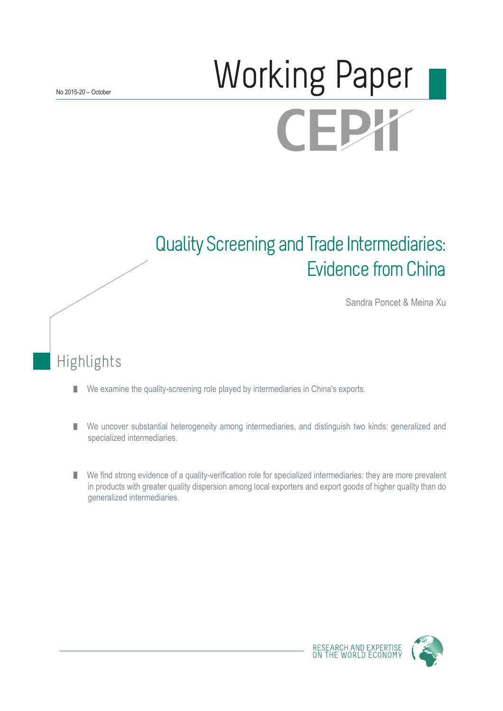# Working Paper **CEPY**

## Quality Screening and Trade Intermediaries: Evidence from China

Sandra Poncet & Meina Xu

## Highlights

- We examine the quality-screening role played by intermediaries in China's exports. П
- We uncover substantial heterogeneity among intermediaries, and distinguish two kinds: generalized and П specialized intermediaries.
- We find strong evidence of a quality-verification role for specialized intermediaries: they are more prevalent in products with greater quality dispersion among local exporters and export goods of higher quality than do generalized intermediaries.

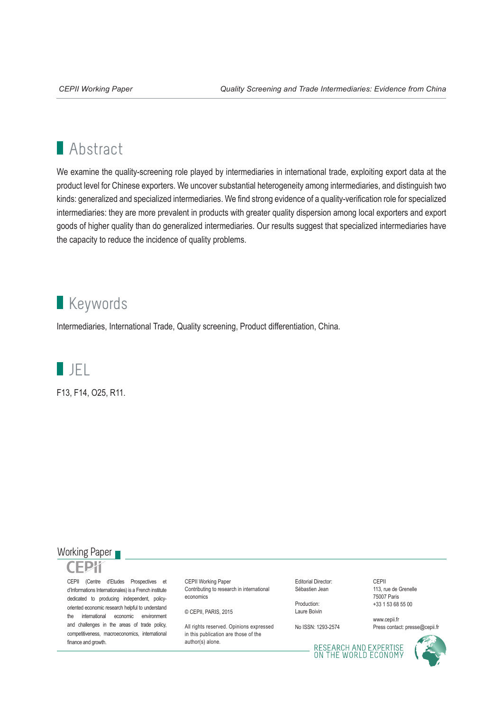## **Abstract**

We examine the quality-screening role played by intermediaries in international trade, exploiting export data at the product level for Chinese exporters. We uncover substantial heterogeneity among intermediaries, and distinguish two kinds: generalized and specialized intermediaries. We find strong evidence of a quality-verification role for specialized intermediaries: they are more prevalent in products with greater quality dispersion among local exporters and export goods of higher quality than do generalized intermediaries. Our results suggest that specialized intermediaries have the capacity to reduce the incidence of quality problems.

### **Keywords**

Intermediaries, International Trade, Quality screening, Product differentiation, China.

JEL

F13, F14, O25, R11.

#### Working Paper



CEPII (Centre d'Etudes Prospectives et d'Informations Internationales) is a French institute dedicated to producing independent, policyoriented economic research helpful to understand the international economic environment and challenges in the areas of trade policy, competitiveness, macroeconomics, international finance and growth.

CEPII Working Paper Contributing to research in international economics

© CEPII, PARIS, 2015

All rights reserved. Opinions expressed in this publication are those of the author(s) alone.

Editorial Director: Sébastien Jean

Production: Laure Boivin

No ISSN: 1293-2574

CEPII 113, rue de Grenelle 75007 Paris +33 1 53 68 55 00

www.cepii.fr Press contact: presse@cepii.fr

RESEARCH AND EXPERTISE<br>ON THE WORLD ECONOMY

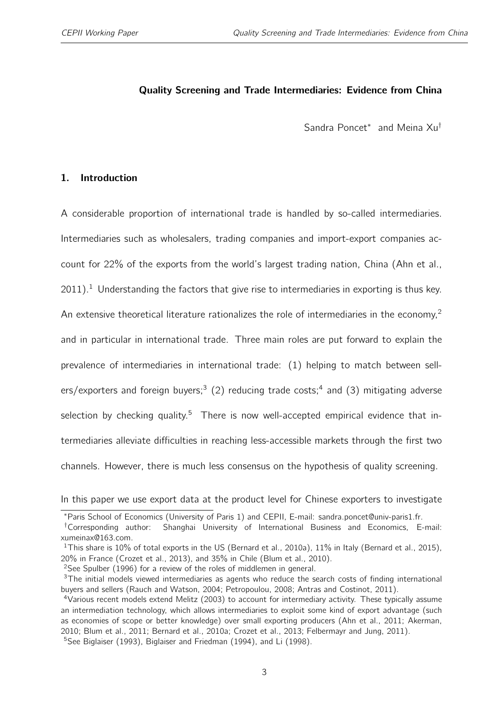#### <span id="page-2-0"></span>Quality Screening and Trade Intermediaries: Evidence from China

Sandra Poncet<sup>\*</sup> and Meina Xu<sup>†</sup>

#### 1. Introduction

A considerable proportion of international trade is handled by so-called intermediaries. Intermediaries such as wholesalers, trading companies and import-export companies account for 22% of the exports from the world's largest trading nation, China (Ahn et al.,  $2011$ ).<sup>1</sup> Understanding the factors that give rise to intermediaries in exporting is thus key. An extensive theoretical literature rationalizes the role of intermediaries in the economy,<sup>2</sup> and in particular in international trade. Three main roles are put forward to explain the prevalence of intermediaries in international trade: (1) helping to match between sellers/exporters and foreign buyers;<sup>3</sup> (2) reducing trade costs;<sup>4</sup> and (3) mitigating adverse selection by checking quality.<sup>5</sup> There is now well-accepted empirical evidence that intermediaries alleviate difficulties in reaching less-accessible markets through the first two channels. However, there is much less consensus on the hypothesis of quality screening.

In this paper we use export data at the product level for Chinese exporters to investigate

<sup>∗</sup>Paris School of Economics (University of Paris 1) and CEPII, E-mail: sandra.poncet@univ-paris1.fr.

<sup>†</sup>Corresponding author: Shanghai University of International Business and Economics, E-mail: xumeinax@163.com.

<sup>&</sup>lt;sup>1</sup>This share is 10% of total exports in the US (Bernard et al., 2010a), 11% in Italy (Bernard et al., 2015), 20% in France (Crozet et al., 2013), and 35% in Chile (Blum et al., 2010).

<sup>&</sup>lt;sup>2</sup>See Spulber (1996) for a review of the roles of middlemen in general.

<sup>&</sup>lt;sup>3</sup>The initial models viewed intermediaries as agents who reduce the search costs of finding international buyers and sellers (Rauch and Watson, 2004; Petropoulou, 2008; Antras and Costinot, 2011).

<sup>4</sup>Various recent models extend Melitz (2003) to account for intermediary activity. These typically assume an intermediation technology, which allows intermediaries to exploit some kind of export advantage (such as economies of scope or better knowledge) over small exporting producers (Ahn et al., 2011; Akerman, 2010; Blum et al., 2011; Bernard et al., 2010a; Crozet et al., 2013; Felbermayr and Jung, 2011).

<sup>&</sup>lt;sup>5</sup>See Biglaiser (1993), Biglaiser and Friedman (1994), and Li (1998).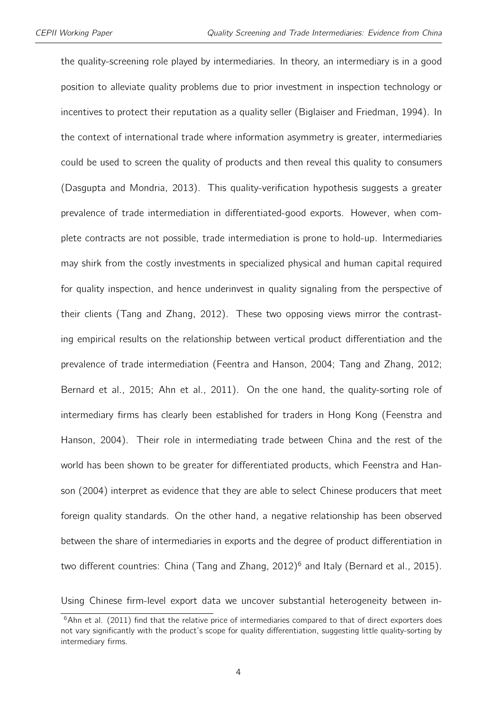the quality-screening role played by intermediaries. In theory, an intermediary is in a good position to alleviate quality problems due to prior investment in inspection technology or incentives to protect their reputation as a quality seller (Biglaiser and Friedman, 1994). In the context of international trade where information asymmetry is greater, intermediaries could be used to screen the quality of products and then reveal this quality to consumers (Dasgupta and Mondria, 2013). This quality-verification hypothesis suggests a greater prevalence of trade intermediation in differentiated-good exports. However, when complete contracts are not possible, trade intermediation is prone to hold-up. Intermediaries may shirk from the costly investments in specialized physical and human capital required for quality inspection, and hence underinvest in quality signaling from the perspective of their clients (Tang and Zhang, 2012). These two opposing views mirror the contrasting empirical results on the relationship between vertical product differentiation and the prevalence of trade intermediation (Feentra and Hanson, 2004; Tang and Zhang, 2012; Bernard et al., 2015; Ahn et al., 2011). On the one hand, the quality-sorting role of intermediary firms has clearly been established for traders in Hong Kong (Feenstra and Hanson, 2004). Their role in intermediating trade between China and the rest of the world has been shown to be greater for differentiated products, which Feenstra and Hanson (2004) interpret as evidence that they are able to select Chinese producers that meet foreign quality standards. On the other hand, a negative relationship has been observed between the share of intermediaries in exports and the degree of product differentiation in two different countries: China (Tang and Zhang, 2012)<sup>[6](#page-2-0)</sup> and Italy (Bernard et al., 2015).

Using Chinese firm-level export data we uncover substantial heterogeneity between in-

 $6$ Ahn et al. (2011) find that the relative price of intermediaries compared to that of direct exporters does not vary significantly with the product's scope for quality differentiation, suggesting little quality-sorting by intermediary firms.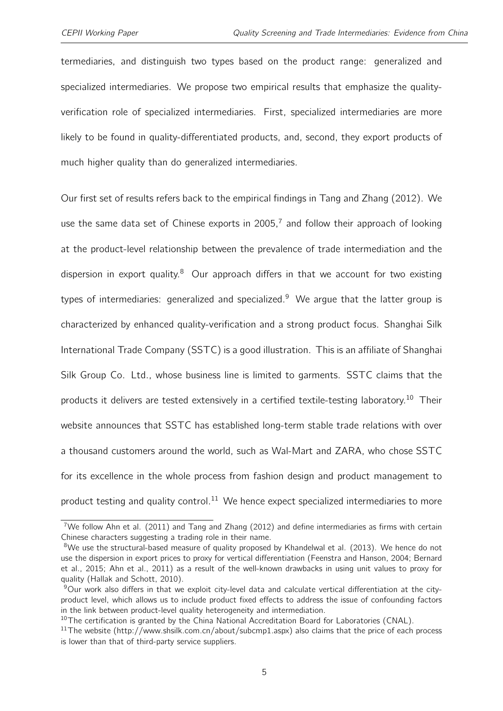termediaries, and distinguish two types based on the product range: generalized and specialized intermediaries. We propose two empirical results that emphasize the qualityverification role of specialized intermediaries. First, specialized intermediaries are more likely to be found in quality-differentiated products, and, second, they export products of much higher quality than do generalized intermediaries.

Our first set of results refers back to the empirical findings in Tang and Zhang (2012). We use the same data set of Chinese exports in 2005, $^7$  $^7$  and follow their approach of looking at the product-level relationship between the prevalence of trade intermediation and the dispersion in export quality. $8$  Our approach differs in that we account for two existing types of intermediaries: generalized and specialized.<sup>[9](#page-2-0)</sup> We argue that the latter group is characterized by enhanced quality-verification and a strong product focus. Shanghai Silk International Trade Company (SSTC) is a good illustration. This is an affiliate of Shanghai Silk Group Co. Ltd., whose business line is limited to garments. SSTC claims that the products it delivers are tested extensively in a certified textile-testing laboratory.<sup>[10](#page-2-0)</sup> Their website announces that SSTC has established long-term stable trade relations with over a thousand customers around the world, such as Wal-Mart and ZARA, who chose SSTC for its excellence in the whole process from fashion design and product management to product testing and quality control.<sup>[11](#page-2-0)</sup> We hence expect specialized intermediaries to more

<sup>7</sup>We follow Ahn et al. (2011) and Tang and Zhang (2012) and define intermediaries as firms with certain Chinese characters suggesting a trading role in their name.

<sup>&</sup>lt;sup>8</sup>We use the structural-based measure of quality proposed by Khandelwal et al. (2013). We hence do not use the dispersion in export prices to proxy for vertical differentiation (Feenstra and Hanson, 2004; Bernard et al., 2015; Ahn et al., 2011) as a result of the well-known drawbacks in using unit values to proxy for quality (Hallak and Schott, 2010).

<sup>9</sup>Our work also differs in that we exploit city-level data and calculate vertical differentiation at the cityproduct level, which allows us to include product fixed effects to address the issue of confounding factors in the link between product-level quality heterogeneity and intermediation.

 $10$ The certification is granted by the China National Accreditation Board for Laboratories (CNAL).

 $11$ The website (http://www.shsilk.com.cn/about/subcmp1.aspx) also claims that the price of each process is lower than that of third-party service suppliers.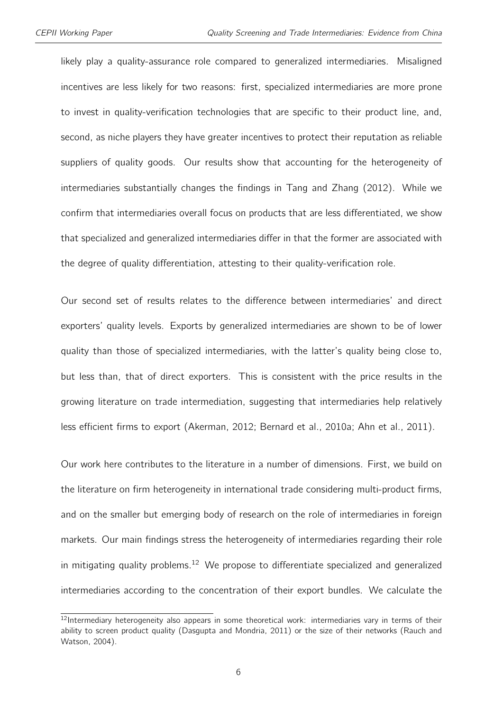likely play a quality-assurance role compared to generalized intermediaries. Misaligned incentives are less likely for two reasons: first, specialized intermediaries are more prone to invest in quality-verification technologies that are specific to their product line, and, second, as niche players they have greater incentives to protect their reputation as reliable suppliers of quality goods. Our results show that accounting for the heterogeneity of intermediaries substantially changes the findings in Tang and Zhang (2012). While we confirm that intermediaries overall focus on products that are less differentiated, we show that specialized and generalized intermediaries differ in that the former are associated with the degree of quality differentiation, attesting to their quality-verification role.

Our second set of results relates to the difference between intermediaries' and direct exporters' quality levels. Exports by generalized intermediaries are shown to be of lower quality than those of specialized intermediaries, with the latter's quality being close to, but less than, that of direct exporters. This is consistent with the price results in the growing literature on trade intermediation, suggesting that intermediaries help relatively less efficient firms to export (Akerman, 2012; Bernard et al., 2010a; Ahn et al., 2011).

Our work here contributes to the literature in a number of dimensions. First, we build on the literature on firm heterogeneity in international trade considering multi-product firms, and on the smaller but emerging body of research on the role of intermediaries in foreign markets. Our main findings stress the heterogeneity of intermediaries regarding their role in mitigating quality problems.<sup>[12](#page-2-0)</sup> We propose to differentiate specialized and generalized intermediaries according to the concentration of their export bundles. We calculate the

 $12$ Intermediary heterogeneity also appears in some theoretical work: intermediaries vary in terms of their ability to screen product quality (Dasgupta and Mondria, 2011) or the size of their networks (Rauch and Watson, 2004).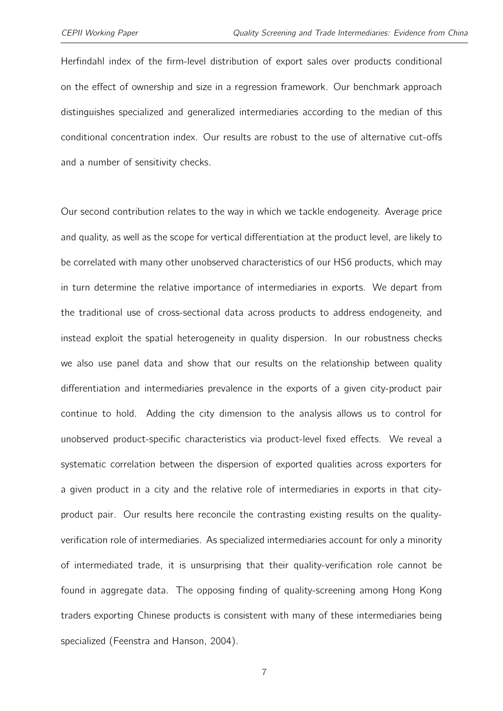Herfindahl index of the firm-level distribution of export sales over products conditional on the effect of ownership and size in a regression framework. Our benchmark approach distinguishes specialized and generalized intermediaries according to the median of this conditional concentration index. Our results are robust to the use of alternative cut-offs and a number of sensitivity checks.

Our second contribution relates to the way in which we tackle endogeneity. Average price and quality, as well as the scope for vertical differentiation at the product level, are likely to be correlated with many other unobserved characteristics of our HS6 products, which may in turn determine the relative importance of intermediaries in exports. We depart from the traditional use of cross-sectional data across products to address endogeneity, and instead exploit the spatial heterogeneity in quality dispersion. In our robustness checks we also use panel data and show that our results on the relationship between quality differentiation and intermediaries prevalence in the exports of a given city-product pair continue to hold. Adding the city dimension to the analysis allows us to control for unobserved product-specific characteristics via product-level fixed effects. We reveal a systematic correlation between the dispersion of exported qualities across exporters for a given product in a city and the relative role of intermediaries in exports in that cityproduct pair. Our results here reconcile the contrasting existing results on the qualityverification role of intermediaries. As specialized intermediaries account for only a minority of intermediated trade, it is unsurprising that their quality-verification role cannot be found in aggregate data. The opposing finding of quality-screening among Hong Kong traders exporting Chinese products is consistent with many of these intermediaries being specialized (Feenstra and Hanson, 2004).

7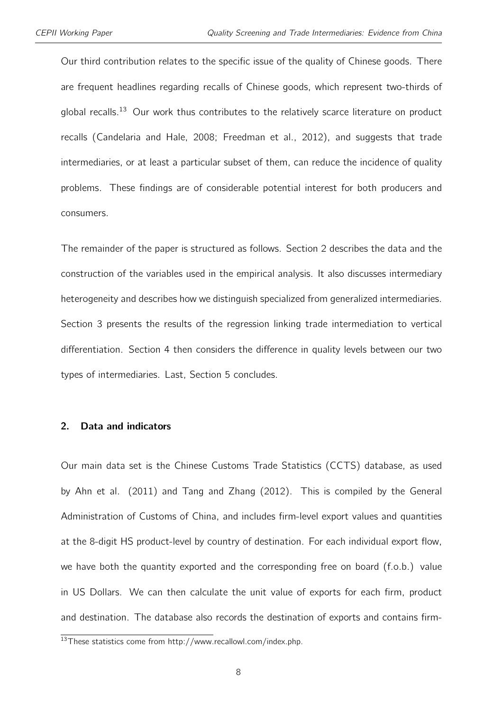Our third contribution relates to the specific issue of the quality of Chinese goods. There are frequent headlines regarding recalls of Chinese goods, which represent two-thirds of global recalls.<sup>[13](#page-2-0)</sup> Our work thus contributes to the relatively scarce literature on product recalls (Candelaria and Hale, 2008; Freedman et al., 2012), and suggests that trade intermediaries, or at least a particular subset of them, can reduce the incidence of quality problems. These findings are of considerable potential interest for both producers and consumers.

The remainder of the paper is structured as follows. Section 2 describes the data and the construction of the variables used in the empirical analysis. It also discusses intermediary heterogeneity and describes how we distinguish specialized from generalized intermediaries. Section 3 presents the results of the regression linking trade intermediation to vertical differentiation. Section 4 then considers the difference in quality levels between our two types of intermediaries. Last, Section 5 concludes.

#### 2. Data and indicators

Our main data set is the Chinese Customs Trade Statistics (CCTS) database, as used by Ahn et al. (2011) and Tang and Zhang (2012). This is compiled by the General Administration of Customs of China, and includes firm-level export values and quantities at the 8-digit HS product-level by country of destination. For each individual export flow, we have both the quantity exported and the corresponding free on board (f.o.b.) value in US Dollars. We can then calculate the unit value of exports for each firm, product and destination. The database also records the destination of exports and contains firm-

<sup>13</sup>These statistics come from http://www.recallowl.com/index.php.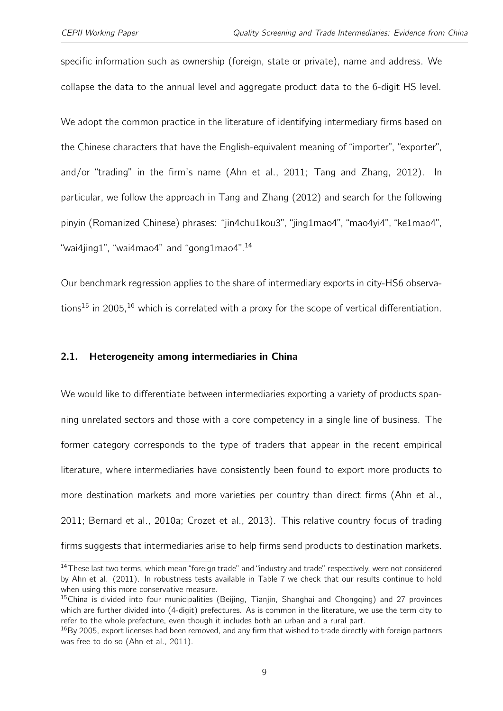specific information such as ownership (foreign, state or private), name and address. We collapse the data to the annual level and aggregate product data to the 6-digit HS level.

We adopt the common practice in the literature of identifying intermediary firms based on the Chinese characters that have the English-equivalent meaning of "importer", "exporter", and/or "trading" in the firm's name (Ahn et al., 2011; Tang and Zhang, 2012). In particular, we follow the approach in Tang and Zhang (2012) and search for the following pinyin (Romanized Chinese) phrases: "jin4chu1kou3", "jing1mao4", "mao4yi4", "ke1mao4", "wai4jing1", "wai4mao4" and "gong1mao4".[14](#page-2-0)

Our benchmark regression applies to the share of intermediary exports in city-HS6 observa-tions<sup>[15](#page-2-0)</sup> in 2005.<sup>[16](#page-2-0)</sup> which is correlated with a proxy for the scope of vertical differentiation.

#### <span id="page-8-0"></span>2.1. Heterogeneity among intermediaries in China

We would like to differentiate between intermediaries exporting a variety of products spanning unrelated sectors and those with a core competency in a single line of business. The former category corresponds to the type of traders that appear in the recent empirical literature, where intermediaries have consistently been found to export more products to more destination markets and more varieties per country than direct firms (Ahn et al., 2011; Bernard et al., 2010a; Crozet et al., 2013). This relative country focus of trading firms suggests that intermediaries arise to help firms send products to destination markets.

<sup>&</sup>lt;sup>14</sup>These last two terms, which mean "foreign trade" and "industry and trade" respectively, were not considered by Ahn et al. (2011). In robustness tests available in Table [7](#page-38-0) we check that our results continue to hold when using this more conservative measure.

<sup>&</sup>lt;sup>15</sup>China is divided into four municipalities (Beijing, Tianjin, Shanghai and Chongqing) and 27 provinces which are further divided into (4-digit) prefectures. As is common in the literature, we use the term city to refer to the whole prefecture, even though it includes both an urban and a rural part.

 $16By$  2005, export licenses had been removed, and any firm that wished to trade directly with foreign partners was free to do so (Ahn et al., 2011).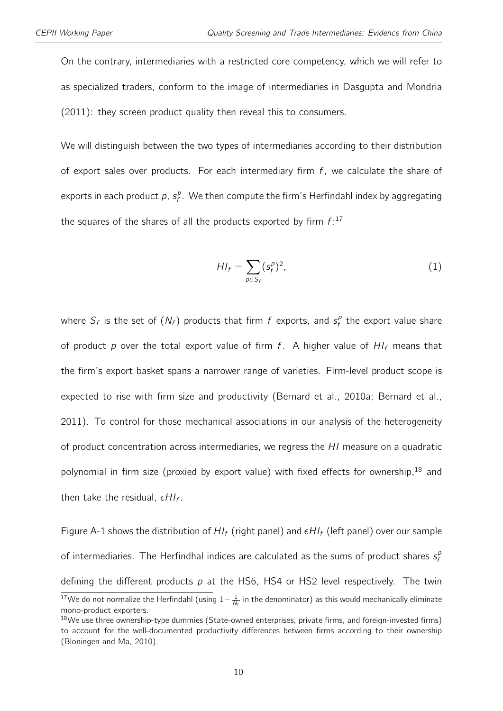On the contrary, intermediaries with a restricted core competency, which we will refer to as specialized traders, conform to the image of intermediaries in Dasgupta and Mondria (2011): they screen product quality then reveal this to consumers.

We will distinguish between the two types of intermediaries according to their distribution of export sales over products. For each intermediary firm  $f$ , we calculate the share of exports in each product p,  $s_f^p$  $\mathcal{F}^{\rho}_{f}$ . We then compute the firm's Herfindahl index by aggregating the squares of the shares of all the products exported by firm  $f$ :<sup>[17](#page-2-0)</sup>

<span id="page-9-0"></span>
$$
HI_f = \sum_{p \in S_f} (s_f^p)^2,\tag{1}
$$

where  $S_f$  is the set of  $(N_f)$  products that firm f exports, and  $s_f^E$  $\mathcal{E}_f^p$  the export value share of product p over the total export value of firm f. A higher value of  $HI_f$  means that the firm's export basket spans a narrower range of varieties. Firm-level product scope is expected to rise with firm size and productivity (Bernard et al., 2010a; Bernard et al., 2011). To control for those mechanical associations in our analysis of the heterogeneity of product concentration across intermediaries, we regress the HI measure on a quadratic polynomial in firm size (proxied by export value) with fixed effects for ownership,<sup>[18](#page-2-0)</sup> and then take the residual,  $\epsilon H I_f$ .

Figure [A-1](#page-41-0) shows the distribution of  $HI_f$  (right panel) and  $\epsilon HI_f$  (left panel) over our sample of intermediaries. The Herfindhal indices are calculated as the sums of product shares  $s_f^{\beta}$ f defining the different products  $p$  at the HS6, HS4 or HS2 level respectively. The twin

 $^{17}$ We do not normalize the Herfindahl (using  $1-\frac{1}{N_f}$  in the denominator) as this would mechanically eliminate mono-product exporters.

<sup>&</sup>lt;sup>18</sup>We use three ownership-type dummies (State-owned enterprises, private firms, and foreign-invested firms) to account for the well-documented productivity differences between firms according to their ownership (Bloningen and Ma, 2010).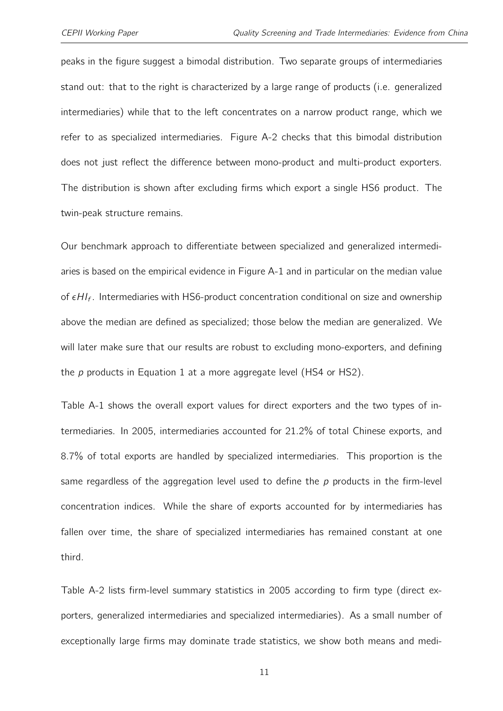peaks in the figure suggest a bimodal distribution. Two separate groups of intermediaries stand out: that to the right is characterized by a large range of products (i.e. generalized intermediaries) while that to the left concentrates on a narrow product range, which we refer to as specialized intermediaries. Figure [A-2](#page-42-0) checks that this bimodal distribution does not just reflect the difference between mono-product and multi-product exporters. The distribution is shown after excluding firms which export a single HS6 product. The twin-peak structure remains.

Our benchmark approach to differentiate between specialized and generalized intermediaries is based on the empirical evidence in Figure [A-1](#page-41-0) and in particular on the median value of  $\epsilon H I_f$ . Intermediaries with HS6-product concentration conditional on size and ownership above the median are defined as specialized; those below the median are generalized. We will later make sure that our results are robust to excluding mono-exporters, and defining the  $p$  products in Equation [1](#page-9-0) at a more aggregate level (HS4 or HS2).

Table [A-1](#page-43-0) shows the overall export values for direct exporters and the two types of intermediaries. In 2005, intermediaries accounted for 21.2% of total Chinese exports, and 8.7% of total exports are handled by specialized intermediaries. This proportion is the same regardless of the aggregation level used to define the  $p$  products in the firm-level concentration indices. While the share of exports accounted for by intermediaries has fallen over time, the share of specialized intermediaries has remained constant at one third.

Table [A-2](#page-43-1) lists firm-level summary statistics in 2005 according to firm type (direct exporters, generalized intermediaries and specialized intermediaries). As a small number of exceptionally large firms may dominate trade statistics, we show both means and medi-

11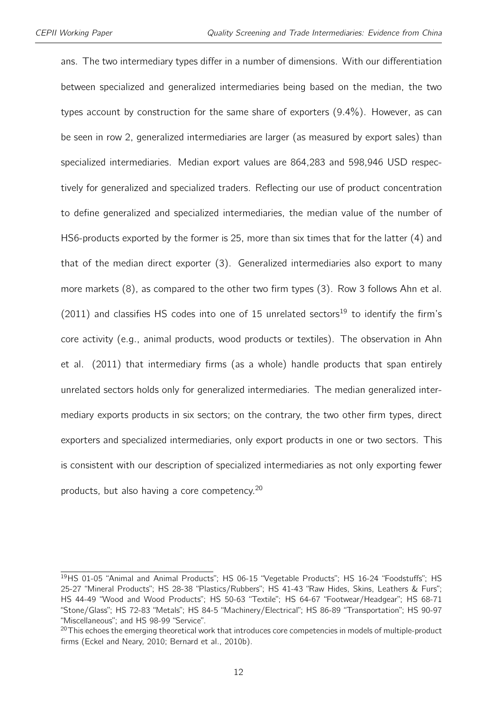ans. The two intermediary types differ in a number of dimensions. With our differentiation between specialized and generalized intermediaries being based on the median, the two types account by construction for the same share of exporters (9.4%). However, as can be seen in row 2, generalized intermediaries are larger (as measured by export sales) than specialized intermediaries. Median export values are 864,283 and 598,946 USD respectively for generalized and specialized traders. Reflecting our use of product concentration to define generalized and specialized intermediaries, the median value of the number of HS6-products exported by the former is 25, more than six times that for the latter (4) and that of the median direct exporter (3). Generalized intermediaries also export to many more markets (8), as compared to the other two firm types (3). Row 3 follows Ahn et al.  $(2011)$  and classifies HS codes into one of 15 unrelated sectors<sup>[19](#page-2-0)</sup> to identify the firm's core activity (e.g., animal products, wood products or textiles). The observation in Ahn et al. (2011) that intermediary firms (as a whole) handle products that span entirely unrelated sectors holds only for generalized intermediaries. The median generalized intermediary exports products in six sectors; on the contrary, the two other firm types, direct exporters and specialized intermediaries, only export products in one or two sectors. This is consistent with our description of specialized intermediaries as not only exporting fewer products, but also having a core competency.[20](#page-2-0)

<sup>&</sup>lt;sup>19</sup>HS 01-05 "Animal and Animal Products"; HS 06-15 "Vegetable Products"; HS 16-24 "Foodstuffs"; HS 25-27 "Mineral Products"; HS 28-38 "Plastics/Rubbers"; HS 41-43 "Raw Hides, Skins, Leathers & Furs"; HS 44-49 "Wood and Wood Products"; HS 50-63 "Textile"; HS 64-67 "Footwear/Headgear"; HS 68-71 "Stone/Glass"; HS 72-83 "Metals"; HS 84-5 "Machinery/Electrical"; HS 86-89 "Transportation"; HS 90-97 "Miscellaneous"; and HS 98-99 "Service".

<sup>&</sup>lt;sup>20</sup>This echoes the emerging theoretical work that introduces core competencies in models of multiple-product firms (Eckel and Neary, 2010; Bernard et al., 2010b).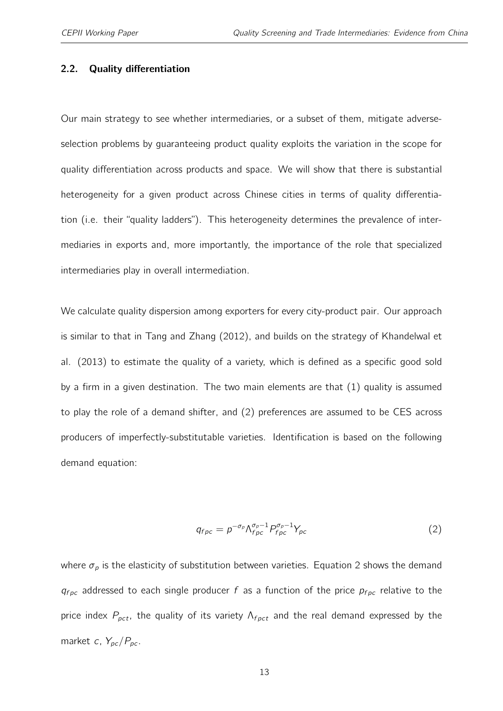#### 2.2. Quality differentiation

Our main strategy to see whether intermediaries, or a subset of them, mitigate adverseselection problems by guaranteeing product quality exploits the variation in the scope for quality differentiation across products and space. We will show that there is substantial heterogeneity for a given product across Chinese cities in terms of quality differentiation (i.e. their "quality ladders"). This heterogeneity determines the prevalence of intermediaries in exports and, more importantly, the importance of the role that specialized intermediaries play in overall intermediation.

We calculate quality dispersion among exporters for every city-product pair. Our approach is similar to that in Tang and Zhang (2012), and builds on the strategy of Khandelwal et al. (2013) to estimate the quality of a variety, which is defined as a specific good sold by a firm in a given destination. The two main elements are that (1) quality is assumed to play the role of a demand shifter, and (2) preferences are assumed to be CES across producers of imperfectly-substitutable varieties. Identification is based on the following demand equation:

$$
q_{fpc} = p^{-\sigma_p} \Lambda_{fpc}^{\sigma_p - 1} P_{fpc}^{\sigma_p - 1} Y_{pc}
$$
 (2)

<span id="page-12-0"></span>where  $\sigma_p$  is the elasticity of substitution between varieties. Equation [2](#page-12-0) shows the demand  $q_{fpc}$  addressed to each single producer f as a function of the price  $p_{fpc}$  relative to the price index  $P_{pct}$ , the quality of its variety  $\Lambda_{f pct}$  and the real demand expressed by the market c,  $Y_{pc}/P_{pc}$ .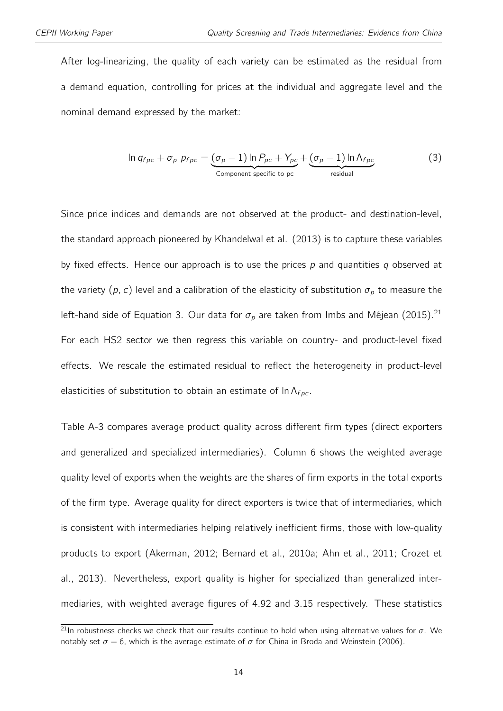After log-linearizing, the quality of each variety can be estimated as the residual from a demand equation, controlling for prices at the individual and aggregate level and the nominal demand expressed by the market:

<span id="page-13-0"></span>
$$
\ln q_{fpc} + \sigma_p \ p_{fpc} = \underbrace{(\sigma_p - 1) \ln P_{pc} + Y_{pc}}_{\text{Component specific to pc}} + \underbrace{(\sigma_p - 1) \ln \Lambda_{fpc}}_{\text{residual}}
$$
 (3)

Since price indices and demands are not observed at the product- and destination-level, the standard approach pioneered by Khandelwal et al. (2013) is to capture these variables by fixed effects. Hence our approach is to use the prices  $p$  and quantities  $q$  observed at the variety (p, c) level and a calibration of the elasticity of substitution  $\sigma_p$  to measure the left-hand side of Equation [3.](#page-13-0) Our data for  $\sigma_p$  are taken from Imbs and Méjean (2015).<sup>[21](#page-2-0)</sup> For each HS2 sector we then regress this variable on country- and product-level fixed effects. We rescale the estimated residual to reflect the heterogeneity in product-level elasticities of substitution to obtain an estimate of  $\ln \Lambda_{fpc}$ .

Table [A-3](#page-44-0) compares average product quality across different firm types (direct exporters and generalized and specialized intermediaries). Column 6 shows the weighted average quality level of exports when the weights are the shares of firm exports in the total exports of the firm type. Average quality for direct exporters is twice that of intermediaries, which is consistent with intermediaries helping relatively inefficient firms, those with low-quality products to export (Akerman, 2012; Bernard et al., 2010a; Ahn et al., 2011; Crozet et al., 2013). Nevertheless, export quality is higher for specialized than generalized intermediaries, with weighted average figures of 4.92 and 3.15 respectively. These statistics

<sup>&</sup>lt;sup>21</sup>In robustness checks we check that our results continue to hold when using alternative values for  $\sigma$ . We notably set  $\sigma = 6$ , which is the average estimate of  $\sigma$  for China in Broda and Weinstein (2006).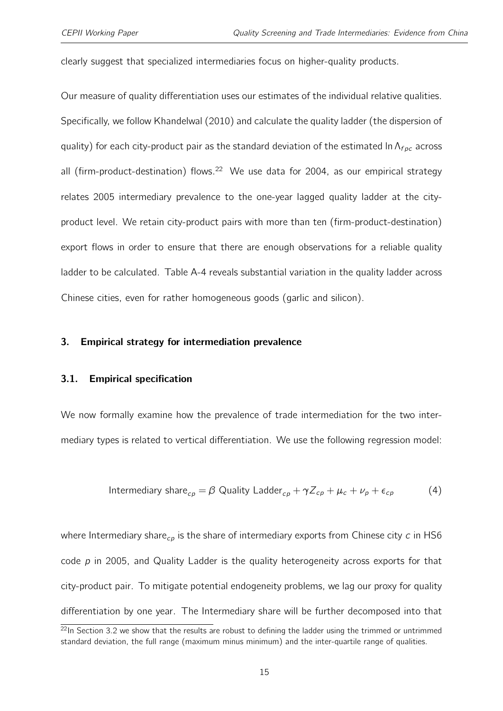clearly suggest that specialized intermediaries focus on higher-quality products.

Our measure of quality differentiation uses our estimates of the individual relative qualities. Specifically, we follow Khandelwal (2010) and calculate the quality ladder (the dispersion of quality) for each city-product pair as the standard deviation of the estimated ln  $\Lambda_{f \rho c}$  across all (firm-product-destination) flows.<sup>[22](#page-2-0)</sup> We use data for 2004, as our empirical strategy relates 2005 intermediary prevalence to the one-year lagged quality ladder at the cityproduct level. We retain city-product pairs with more than ten (firm-product-destination) export flows in order to ensure that there are enough observations for a reliable quality ladder to be calculated. Table [A-4](#page-44-1) reveals substantial variation in the quality ladder across Chinese cities, even for rather homogeneous goods (garlic and silicon).

#### <span id="page-14-1"></span>3. Empirical strategy for intermediation prevalence

#### 3.1. Empirical specification

<span id="page-14-0"></span>We now formally examine how the prevalence of trade intermediation for the two intermediary types is related to vertical differentiation. We use the following regression model:

Intermediary share<sub>cp</sub> = 
$$
\beta
$$
 Quality Ladder<sub>cp</sub> +  $\gamma Z_{cp}$  +  $\mu_c$  +  $\nu_p$  +  $\epsilon_{cp}$  (4)

where Intermediary share<sub>cp</sub> is the share of intermediary exports from Chinese city c in HS6 code  $p$  in 2005, and Quality Ladder is the quality heterogeneity across exports for that city-product pair. To mitigate potential endogeneity problems, we lag our proxy for quality differentiation by one year. The Intermediary share will be further decomposed into that

 $^{22}$ In Section [3.2](#page-17-0) we show that the results are robust to defining the ladder using the trimmed or untrimmed standard deviation, the full range (maximum minus minimum) and the inter-quartile range of qualities.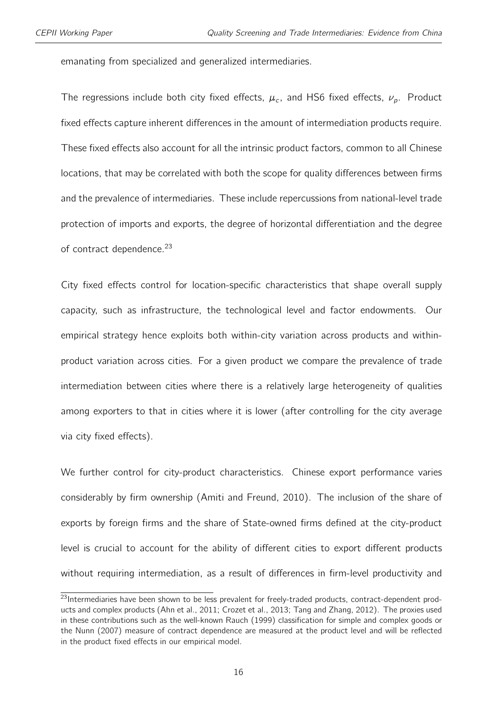emanating from specialized and generalized intermediaries.

The regressions include both city fixed effects,  $\mu_c$ , and HS6 fixed effects,  $\nu_p$ . Product fixed effects capture inherent differences in the amount of intermediation products require. These fixed effects also account for all the intrinsic product factors, common to all Chinese locations, that may be correlated with both the scope for quality differences between firms and the prevalence of intermediaries. These include repercussions from national-level trade protection of imports and exports, the degree of horizontal differentiation and the degree of contract dependence.<sup>[23](#page-2-0)</sup>

City fixed effects control for location-specific characteristics that shape overall supply capacity, such as infrastructure, the technological level and factor endowments. Our empirical strategy hence exploits both within-city variation across products and withinproduct variation across cities. For a given product we compare the prevalence of trade intermediation between cities where there is a relatively large heterogeneity of qualities among exporters to that in cities where it is lower (after controlling for the city average via city fixed effects).

We further control for city-product characteristics. Chinese export performance varies considerably by firm ownership (Amiti and Freund, 2010). The inclusion of the share of exports by foreign firms and the share of State-owned firms defined at the city-product level is crucial to account for the ability of different cities to export different products without requiring intermediation, as a result of differences in firm-level productivity and

<sup>&</sup>lt;sup>23</sup>Intermediaries have been shown to be less prevalent for freely-traded products, contract-dependent products and complex products (Ahn et al., 2011; Crozet et al., 2013; Tang and Zhang, 2012). The proxies used in these contributions such as the well-known Rauch (1999) classification for simple and complex goods or the Nunn (2007) measure of contract dependence are measured at the product level and will be reflected in the product fixed effects in our empirical model.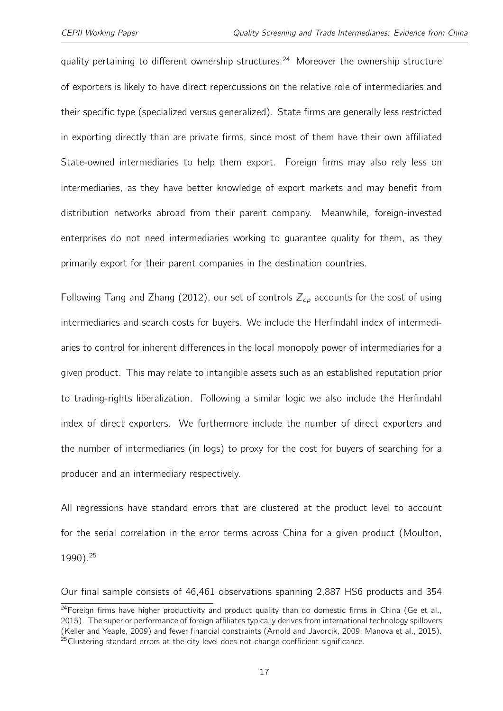quality pertaining to different ownership structures.<sup>[24](#page-2-0)</sup> Moreover the ownership structure of exporters is likely to have direct repercussions on the relative role of intermediaries and their specific type (specialized versus generalized). State firms are generally less restricted in exporting directly than are private firms, since most of them have their own affiliated State-owned intermediaries to help them export. Foreign firms may also rely less on intermediaries, as they have better knowledge of export markets and may benefit from distribution networks abroad from their parent company. Meanwhile, foreign-invested enterprises do not need intermediaries working to guarantee quality for them, as they primarily export for their parent companies in the destination countries.

Following Tang and Zhang (2012), our set of controls  $Z_{cp}$  accounts for the cost of using intermediaries and search costs for buyers. We include the Herfindahl index of intermediaries to control for inherent differences in the local monopoly power of intermediaries for a given product. This may relate to intangible assets such as an established reputation prior to trading-rights liberalization. Following a similar logic we also include the Herfindahl index of direct exporters. We furthermore include the number of direct exporters and the number of intermediaries (in logs) to proxy for the cost for buyers of searching for a producer and an intermediary respectively.

All regressions have standard errors that are clustered at the product level to account for the serial correlation in the error terms across China for a given product (Moulton, 1990).[25](#page-2-0)

Our final sample consists of 46,461 observations spanning 2,887 HS6 products and 354

<sup>&</sup>lt;sup>24</sup> Foreign firms have higher productivity and product quality than do domestic firms in China (Ge et al., 2015). The superior performance of foreign affiliates typically derives from international technology spillovers (Keller and Yeaple, 2009) and fewer financial constraints (Arnold and Javorcik, 2009; Manova et al., 2015).  $25$ Clustering standard errors at the city level does not change coefficient significance.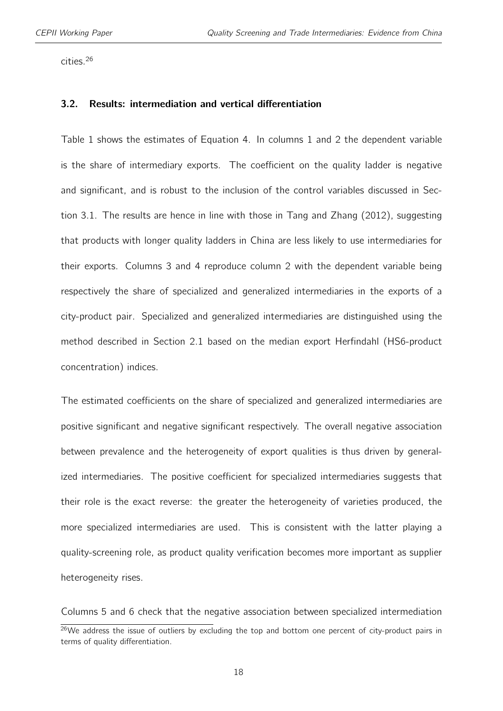<span id="page-17-0"></span>cities.[26](#page-2-0)

#### 3.2. Results: intermediation and vertical differentiation

Table [1](#page-32-0) shows the estimates of Equation [4.](#page-14-0) In columns 1 and 2 the dependent variable is the share of intermediary exports. The coefficient on the quality ladder is negative and significant, and is robust to the inclusion of the control variables discussed in Section [3.1.](#page-14-1) The results are hence in line with those in Tang and Zhang (2012), suggesting that products with longer quality ladders in China are less likely to use intermediaries for their exports. Columns 3 and 4 reproduce column 2 with the dependent variable being respectively the share of specialized and generalized intermediaries in the exports of a city-product pair. Specialized and generalized intermediaries are distinguished using the method described in Section [2.1](#page-8-0) based on the median export Herfindahl (HS6-product concentration) indices.

The estimated coefficients on the share of specialized and generalized intermediaries are positive significant and negative significant respectively. The overall negative association between prevalence and the heterogeneity of export qualities is thus driven by generalized intermediaries. The positive coefficient for specialized intermediaries suggests that their role is the exact reverse: the greater the heterogeneity of varieties produced, the more specialized intermediaries are used. This is consistent with the latter playing a quality-screening role, as product quality verification becomes more important as supplier heterogeneity rises.

Columns 5 and 6 check that the negative association between specialized intermediation

 $26$ We address the issue of outliers by excluding the top and bottom one percent of city-product pairs in terms of quality differentiation.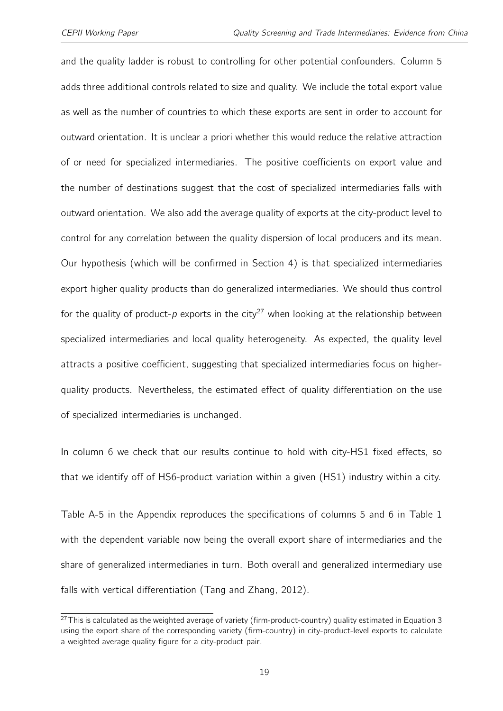and the quality ladder is robust to controlling for other potential confounders. Column 5 adds three additional controls related to size and quality. We include the total export value as well as the number of countries to which these exports are sent in order to account for outward orientation. It is unclear a priori whether this would reduce the relative attraction of or need for specialized intermediaries. The positive coefficients on export value and the number of destinations suggest that the cost of specialized intermediaries falls with outward orientation. We also add the average quality of exports at the city-product level to control for any correlation between the quality dispersion of local producers and its mean. Our hypothesis (which will be confirmed in Section [4\)](#page-22-0) is that specialized intermediaries export higher quality products than do generalized intermediaries. We should thus control for the quality of product-p exports in the city<sup>[27](#page-2-0)</sup> when looking at the relationship between specialized intermediaries and local quality heterogeneity. As expected, the quality level attracts a positive coefficient, suggesting that specialized intermediaries focus on higherquality products. Nevertheless, the estimated effect of quality differentiation on the use of specialized intermediaries is unchanged.

In column 6 we check that our results continue to hold with city-HS1 fixed effects, so that we identify off of HS6-product variation within a given (HS1) industry within a city.

Table [A-5](#page-45-0) in the Appendix reproduces the specifications of columns 5 and 6 in Table [1](#page-32-0) with the dependent variable now being the overall export share of intermediaries and the share of generalized intermediaries in turn. Both overall and generalized intermediary use falls with vertical differentiation (Tang and Zhang, 2012).

 $27$ This is calculated as the weighted average of variety (firm-product-country) quality estimated in Equation [3](#page-13-0) using the export share of the corresponding variety (firm-country) in city-product-level exports to calculate a weighted average quality figure for a city-product pair.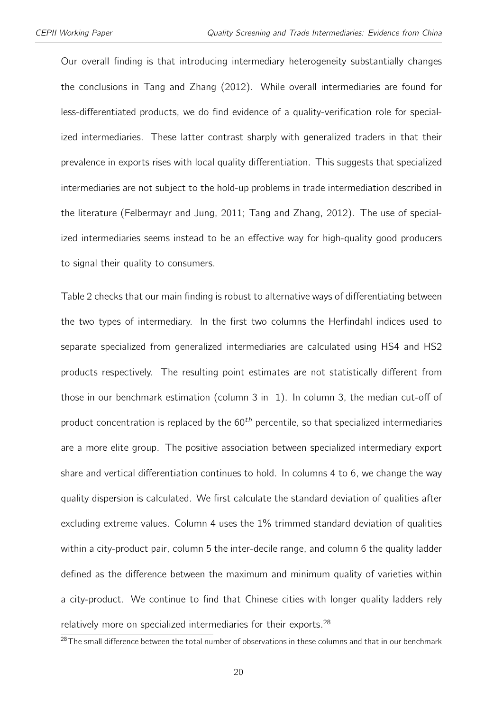Our overall finding is that introducing intermediary heterogeneity substantially changes the conclusions in Tang and Zhang (2012). While overall intermediaries are found for less-differentiated products, we do find evidence of a quality-verification role for specialized intermediaries. These latter contrast sharply with generalized traders in that their prevalence in exports rises with local quality differentiation. This suggests that specialized intermediaries are not subject to the hold-up problems in trade intermediation described in the literature (Felbermayr and Jung, 2011; Tang and Zhang, 2012). The use of specialized intermediaries seems instead to be an effective way for high-quality good producers to signal their quality to consumers.

Table [2](#page-33-0) checks that our main finding is robust to alternative ways of differentiating between the two types of intermediary. In the first two columns the Herfindahl indices used to separate specialized from generalized intermediaries are calculated using HS4 and HS2 products respectively. The resulting point estimates are not statistically different from those in our benchmark estimation (column 3 in [1\)](#page-32-0). In column 3, the median cut-off of product concentration is replaced by the  $60<sup>th</sup>$  percentile, so that specialized intermediaries are a more elite group. The positive association between specialized intermediary export share and vertical differentiation continues to hold. In columns 4 to 6, we change the way quality dispersion is calculated. We first calculate the standard deviation of qualities after excluding extreme values. Column 4 uses the 1% trimmed standard deviation of qualities within a city-product pair, column 5 the inter-decile range, and column 6 the quality ladder defined as the difference between the maximum and minimum quality of varieties within a city-product. We continue to find that Chinese cities with longer quality ladders rely relatively more on specialized intermediaries for their exports.<sup>[28](#page-2-0)</sup>

 $^{28}$ The small difference between the total number of observations in these columns and that in our benchmark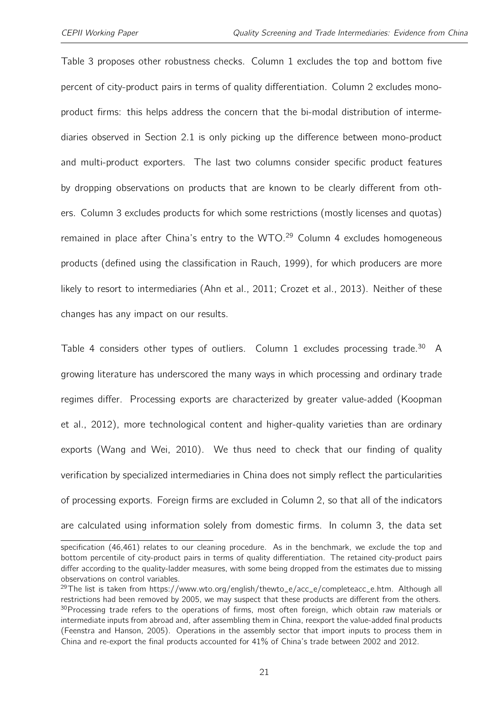Table [3](#page-34-0) proposes other robustness checks. Column 1 excludes the top and bottom five percent of city-product pairs in terms of quality differentiation. Column 2 excludes monoproduct firms: this helps address the concern that the bi-modal distribution of intermediaries observed in Section [2.1](#page-8-0) is only picking up the difference between mono-product and multi-product exporters. The last two columns consider specific product features by dropping observations on products that are known to be clearly different from others. Column 3 excludes products for which some restrictions (mostly licenses and quotas) remained in place after China's entry to the WTO.<sup>[29](#page-2-0)</sup> Column 4 excludes homogeneous products (defined using the classification in Rauch, 1999), for which producers are more likely to resort to intermediaries (Ahn et al., 2011; Crozet et al., 2013). Neither of these changes has any impact on our results.

Table [4](#page-35-0) considers other types of outliers. Column 1 excludes processing trade.<sup>[30](#page-2-0)</sup> A growing literature has underscored the many ways in which processing and ordinary trade regimes differ. Processing exports are characterized by greater value-added (Koopman et al., 2012), more technological content and higher-quality varieties than are ordinary exports (Wang and Wei, 2010). We thus need to check that our finding of quality verification by specialized intermediaries in China does not simply reflect the particularities of processing exports. Foreign firms are excluded in Column 2, so that all of the indicators are calculated using information solely from domestic firms. In column 3, the data set

specification (46,461) relates to our cleaning procedure. As in the benchmark, we exclude the top and bottom percentile of city-product pairs in terms of quality differentiation. The retained city-product pairs differ according to the quality-ladder measures, with some being dropped from the estimates due to missing observations on control variables.

<sup>&</sup>lt;sup>29</sup>The list is taken from https://www.wto.org/english/thewto\_e/acc\_e/completeacc\_e.htm. Although all restrictions had been removed by 2005, we may suspect that these products are different from the others. <sup>30</sup> Processing trade refers to the operations of firms, most often foreign, which obtain raw materials or intermediate inputs from abroad and, after assembling them in China, reexport the value-added final products (Feenstra and Hanson, 2005). Operations in the assembly sector that import inputs to process them in China and re-export the final products accounted for 41% of China's trade between 2002 and 2012.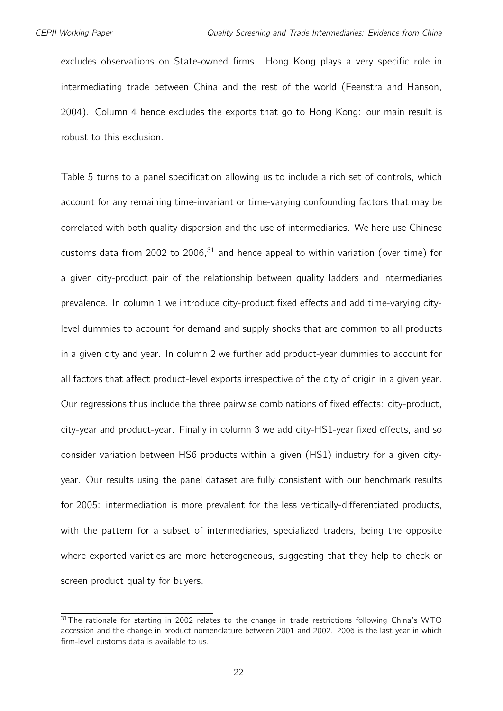excludes observations on State-owned firms. Hong Kong plays a very specific role in intermediating trade between China and the rest of the world (Feenstra and Hanson, 2004). Column 4 hence excludes the exports that go to Hong Kong: our main result is robust to this exclusion.

Table [5](#page-36-0) turns to a panel specification allowing us to include a rich set of controls, which account for any remaining time-invariant or time-varying confounding factors that may be correlated with both quality dispersion and the use of intermediaries. We here use Chinese customs data from 2002 to 2006, $31$  and hence appeal to within variation (over time) for a given city-product pair of the relationship between quality ladders and intermediaries prevalence. In column 1 we introduce city-product fixed effects and add time-varying citylevel dummies to account for demand and supply shocks that are common to all products in a given city and year. In column 2 we further add product-year dummies to account for all factors that affect product-level exports irrespective of the city of origin in a given year. Our regressions thus include the three pairwise combinations of fixed effects: city-product, city-year and product-year. Finally in column 3 we add city-HS1-year fixed effects, and so consider variation between HS6 products within a given (HS1) industry for a given cityyear. Our results using the panel dataset are fully consistent with our benchmark results for 2005: intermediation is more prevalent for the less vertically-differentiated products, with the pattern for a subset of intermediaries, specialized traders, being the opposite where exported varieties are more heterogeneous, suggesting that they help to check or screen product quality for buyers.

<sup>&</sup>lt;sup>31</sup>The rationale for starting in 2002 relates to the change in trade restrictions following China's WTO accession and the change in product nomenclature between 2001 and 2002. 2006 is the last year in which firm-level customs data is available to us.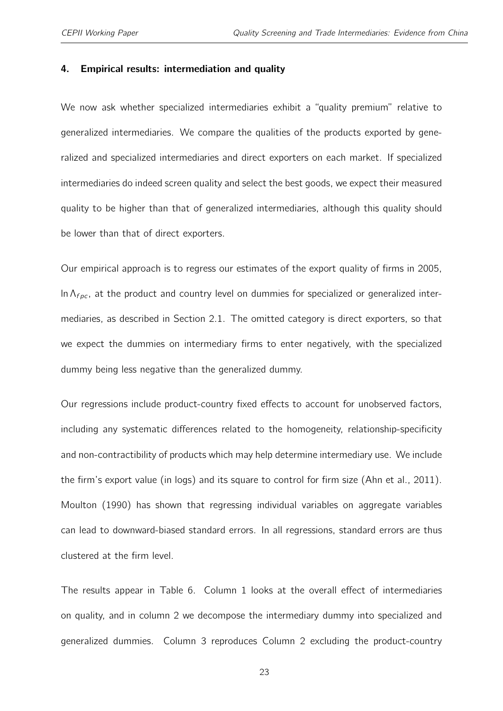#### <span id="page-22-0"></span>4. Empirical results: intermediation and quality

We now ask whether specialized intermediaries exhibit a "quality premium" relative to generalized intermediaries. We compare the qualities of the products exported by generalized and specialized intermediaries and direct exporters on each market. If specialized intermediaries do indeed screen quality and select the best goods, we expect their measured quality to be higher than that of generalized intermediaries, although this quality should be lower than that of direct exporters.

Our empirical approach is to regress our estimates of the export quality of firms in 2005, In  $\Lambda_{f,loc}$ , at the product and country level on dummies for specialized or generalized intermediaries, as described in Section [2.1.](#page-8-0) The omitted category is direct exporters, so that we expect the dummies on intermediary firms to enter negatively, with the specialized dummy being less negative than the generalized dummy.

Our regressions include product-country fixed effects to account for unobserved factors, including any systematic differences related to the homogeneity, relationship-specificity and non-contractibility of products which may help determine intermediary use. We include the firm's export value (in logs) and its square to control for firm size (Ahn et al., 2011). Moulton (1990) has shown that regressing individual variables on aggregate variables can lead to downward-biased standard errors. In all regressions, standard errors are thus clustered at the firm level.

The results appear in Table [6.](#page-37-0) Column 1 looks at the overall effect of intermediaries on quality, and in column 2 we decompose the intermediary dummy into specialized and generalized dummies. Column 3 reproduces Column 2 excluding the product-country

23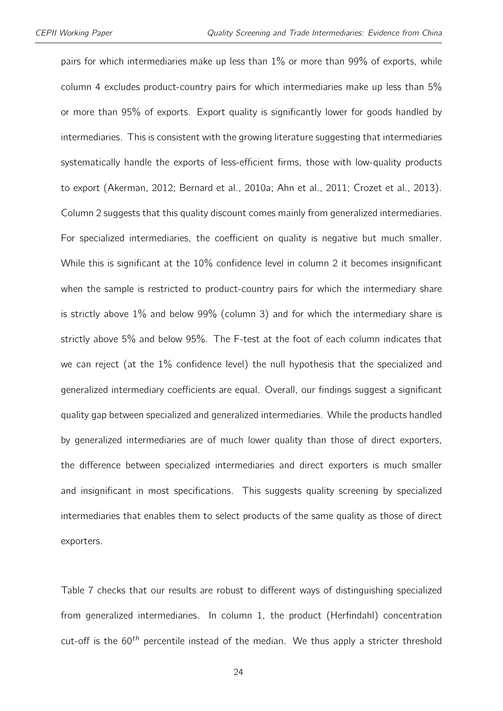pairs for which intermediaries make up less than 1% or more than 99% of exports, while column 4 excludes product-country pairs for which intermediaries make up less than 5% or more than 95% of exports. Export quality is significantly lower for goods handled by intermediaries. This is consistent with the growing literature suggesting that intermediaries systematically handle the exports of less-efficient firms, those with low-quality products to export (Akerman, 2012; Bernard et al., 2010a; Ahn et al., 2011; Crozet et al., 2013). Column 2 suggests that this quality discount comes mainly from generalized intermediaries. For specialized intermediaries, the coefficient on quality is negative but much smaller. While this is significant at the 10% confidence level in column 2 it becomes insignificant when the sample is restricted to product-country pairs for which the intermediary share is strictly above 1% and below 99% (column 3) and for which the intermediary share is strictly above 5% and below 95%. The F-test at the foot of each column indicates that we can reject (at the 1% confidence level) the null hypothesis that the specialized and generalized intermediary coefficients are equal. Overall, our findings suggest a significant quality gap between specialized and generalized intermediaries. While the products handled by generalized intermediaries are of much lower quality than those of direct exporters, the difference between specialized intermediaries and direct exporters is much smaller and insignificant in most specifications. This suggests quality screening by specialized intermediaries that enables them to select products of the same quality as those of direct exporters.

Table [7](#page-38-0) checks that our results are robust to different ways of distinguishing specialized from generalized intermediaries. In column 1, the product (Herfindahl) concentration cut-off is the  $60<sup>th</sup>$  percentile instead of the median. We thus apply a stricter threshold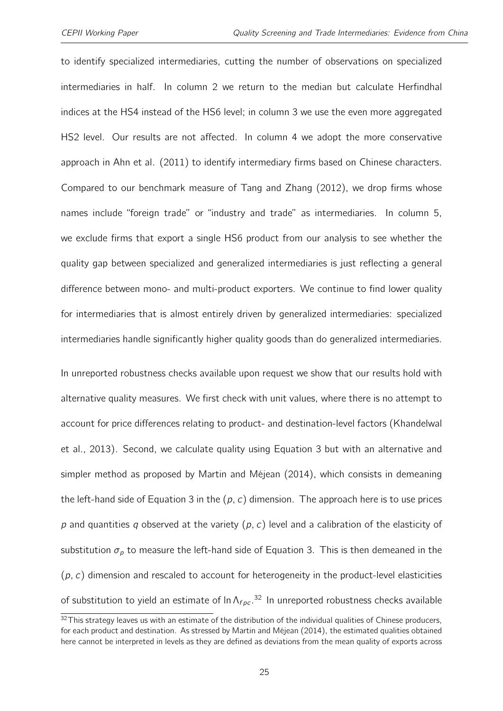to identify specialized intermediaries, cutting the number of observations on specialized intermediaries in half. In column 2 we return to the median but calculate Herfindhal indices at the HS4 instead of the HS6 level; in column 3 we use the even more aggregated HS2 level. Our results are not affected. In column 4 we adopt the more conservative approach in Ahn et al. (2011) to identify intermediary firms based on Chinese characters. Compared to our benchmark measure of Tang and Zhang (2012), we drop firms whose names include "foreign trade" or "industry and trade" as intermediaries. In column 5, we exclude firms that export a single HS6 product from our analysis to see whether the quality gap between specialized and generalized intermediaries is just reflecting a general difference between mono- and multi-product exporters. We continue to find lower quality for intermediaries that is almost entirely driven by generalized intermediaries: specialized intermediaries handle significantly higher quality goods than do generalized intermediaries.

In unreported robustness checks available upon request we show that our results hold with alternative quality measures. We first check with unit values, where there is no attempt to account for price differences relating to product- and destination-level factors (Khandelwal et al., 2013). Second, we calculate quality using Equation [3](#page-13-0) but with an alternative and simpler method as proposed by Martin and Méjean (2014), which consists in demeaning the left-hand side of Equation [3](#page-13-0) in the  $(p, c)$  dimension. The approach here is to use prices p and quantities q observed at the variety  $(p, c)$  level and a calibration of the elasticity of substitution  $\sigma_p$  to measure the left-hand side of Equation [3.](#page-13-0) This is then demeaned in the  $(p, c)$  dimension and rescaled to account for heterogeneity in the product-level elasticities of substitution to yield an estimate of  $\ln \Lambda_{fpc}$ .<sup>[32](#page-2-0)</sup> In unreported robustness checks available

 $32$ This strategy leaves us with an estimate of the distribution of the individual qualities of Chinese producers, for each product and destination. As stressed by Martin and Méjean (2014), the estimated qualities obtained here cannot be interpreted in levels as they are defined as deviations from the mean quality of exports across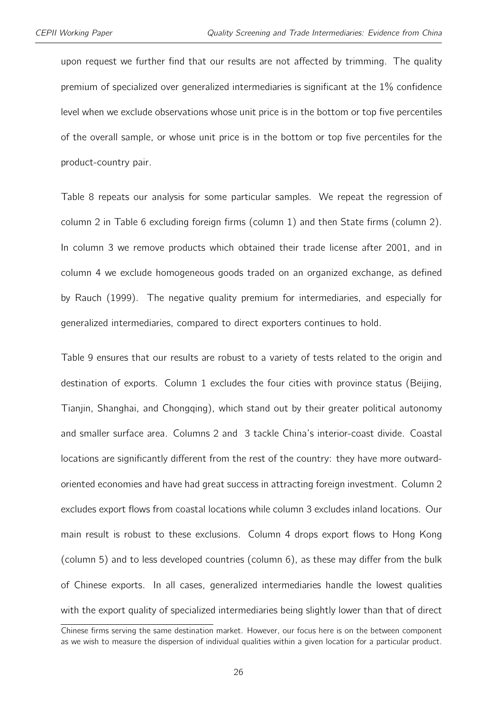upon request we further find that our results are not affected by trimming. The quality premium of specialized over generalized intermediaries is significant at the 1% confidence level when we exclude observations whose unit price is in the bottom or top five percentiles of the overall sample, or whose unit price is in the bottom or top five percentiles for the product-country pair.

Table [8](#page-39-0) repeats our analysis for some particular samples. We repeat the regression of column 2 in Table [6](#page-37-0) excluding foreign firms (column 1) and then State firms (column 2). In column 3 we remove products which obtained their trade license after 2001, and in column 4 we exclude homogeneous goods traded on an organized exchange, as defined by Rauch (1999). The negative quality premium for intermediaries, and especially for generalized intermediaries, compared to direct exporters continues to hold.

Table [9](#page-40-0) ensures that our results are robust to a variety of tests related to the origin and destination of exports. Column 1 excludes the four cities with province status (Beijing, Tianjin, Shanghai, and Chongqing), which stand out by their greater political autonomy and smaller surface area. Columns 2 and 3 tackle China's interior-coast divide. Coastal locations are significantly different from the rest of the country: they have more outwardoriented economies and have had great success in attracting foreign investment. Column 2 excludes export flows from coastal locations while column 3 excludes inland locations. Our main result is robust to these exclusions. Column 4 drops export flows to Hong Kong (column 5) and to less developed countries (column 6), as these may differ from the bulk of Chinese exports. In all cases, generalized intermediaries handle the lowest qualities with the export quality of specialized intermediaries being slightly lower than that of direct

Chinese firms serving the same destination market. However, our focus here is on the between component as we wish to measure the dispersion of individual qualities within a given location for a particular product.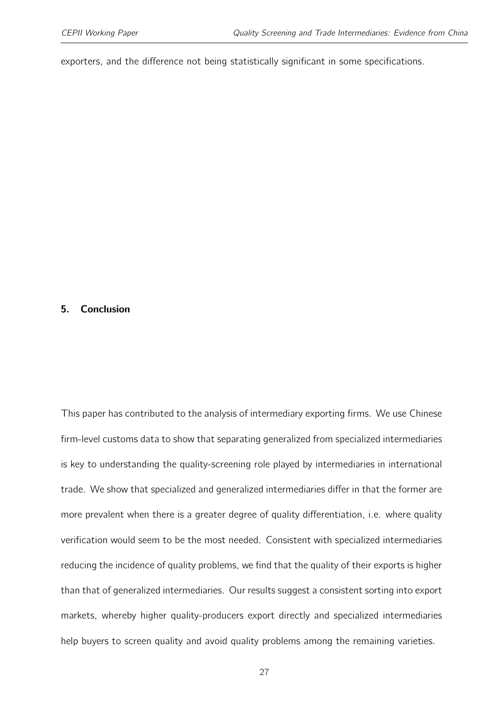exporters, and the difference not being statistically significant in some specifications.

#### 5. Conclusion

This paper has contributed to the analysis of intermediary exporting firms. We use Chinese firm-level customs data to show that separating generalized from specialized intermediaries is key to understanding the quality-screening role played by intermediaries in international trade. We show that specialized and generalized intermediaries differ in that the former are more prevalent when there is a greater degree of quality differentiation, i.e. where quality verification would seem to be the most needed. Consistent with specialized intermediaries reducing the incidence of quality problems, we find that the quality of their exports is higher than that of generalized intermediaries. Our results suggest a consistent sorting into export markets, whereby higher quality-producers export directly and specialized intermediaries help buyers to screen quality and avoid quality problems among the remaining varieties.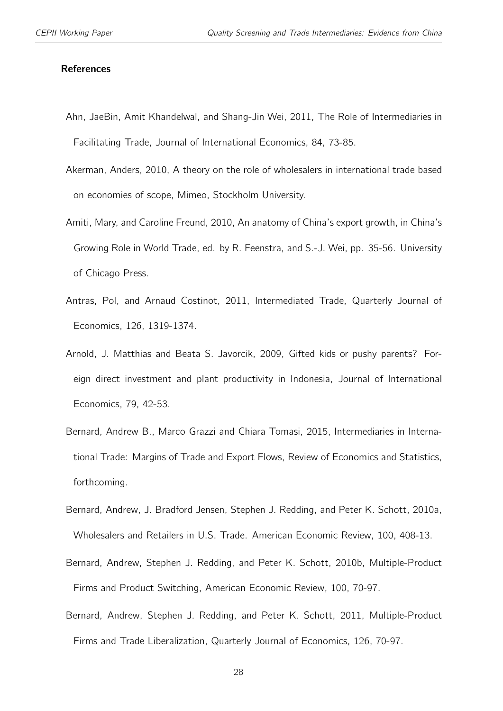#### **References**

- Ahn, JaeBin, Amit Khandelwal, and Shang-Jin Wei, 2011, The Role of Intermediaries in Facilitating Trade, Journal of International Economics, 84, 73-85.
- Akerman, Anders, 2010, A theory on the role of wholesalers in international trade based on economies of scope, Mimeo, Stockholm University.
- Amiti, Mary, and Caroline Freund, 2010, An anatomy of China's export growth, in China's Growing Role in World Trade, ed. by R. Feenstra, and S.-J. Wei, pp. 35-56. University of Chicago Press.
- Antras, Pol, and Arnaud Costinot, 2011, Intermediated Trade, Quarterly Journal of Economics, 126, 1319-1374.
- Arnold, J. Matthias and Beata S. Javorcik, 2009, Gifted kids or pushy parents? Foreign direct investment and plant productivity in Indonesia, Journal of International Economics, 79, 42-53.
- Bernard, Andrew B., Marco Grazzi and Chiara Tomasi, 2015, Intermediaries in International Trade: Margins of Trade and Export Flows, Review of Economics and Statistics, forthcoming.
- Bernard, Andrew, J. Bradford Jensen, Stephen J. Redding, and Peter K. Schott, 2010a, Wholesalers and Retailers in U.S. Trade. American Economic Review, 100, 408-13.
- Bernard, Andrew, Stephen J. Redding, and Peter K. Schott, 2010b, Multiple-Product Firms and Product Switching, American Economic Review, 100, 70-97.
- Bernard, Andrew, Stephen J. Redding, and Peter K. Schott, 2011, Multiple-Product Firms and Trade Liberalization, Quarterly Journal of Economics, 126, 70-97.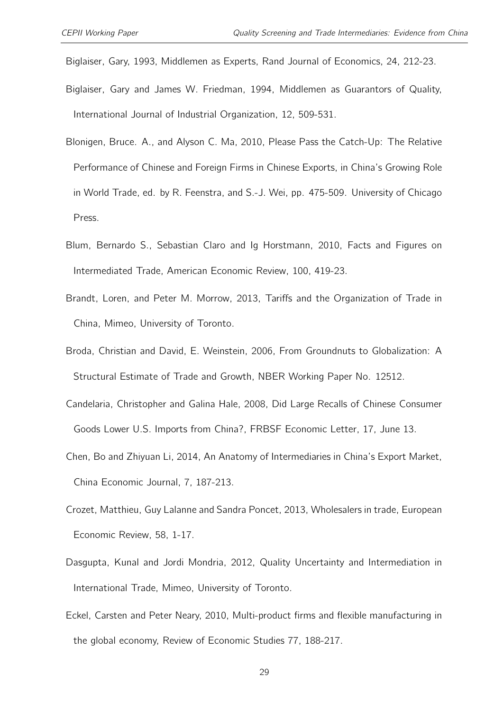Biglaiser, Gary, 1993, Middlemen as Experts, Rand Journal of Economics, 24, 212-23.

- Biglaiser, Gary and James W. Friedman, 1994, Middlemen as Guarantors of Quality, International Journal of Industrial Organization, 12, 509-531.
- Blonigen, Bruce. A., and Alyson C. Ma, 2010, Please Pass the Catch-Up: The Relative Performance of Chinese and Foreign Firms in Chinese Exports, in China's Growing Role in World Trade, ed. by R. Feenstra, and S.-J. Wei, pp. 475-509. University of Chicago Press.
- Blum, Bernardo S., Sebastian Claro and Ig Horstmann, 2010, Facts and Figures on Intermediated Trade, American Economic Review, 100, 419-23.
- Brandt, Loren, and Peter M. Morrow, 2013, Tariffs and the Organization of Trade in China, Mimeo, University of Toronto.
- Broda, Christian and David, E. Weinstein, 2006, From Groundnuts to Globalization: A Structural Estimate of Trade and Growth, NBER Working Paper No. 12512.
- Candelaria, Christopher and Galina Hale, 2008, Did Large Recalls of Chinese Consumer Goods Lower U.S. Imports from China?, FRBSF Economic Letter, 17, June 13.
- Chen, Bo and Zhiyuan Li, 2014, An Anatomy of Intermediaries in China's Export Market, China Economic Journal, 7, 187-213.
- Crozet, Matthieu, Guy Lalanne and Sandra Poncet, 2013, Wholesalers in trade, European Economic Review, 58, 1-17.
- Dasgupta, Kunal and Jordi Mondria, 2012, Quality Uncertainty and Intermediation in International Trade, Mimeo, University of Toronto.
- Eckel, Carsten and Peter Neary, 2010, Multi-product firms and flexible manufacturing in the global economy, Review of Economic Studies 77, 188-217.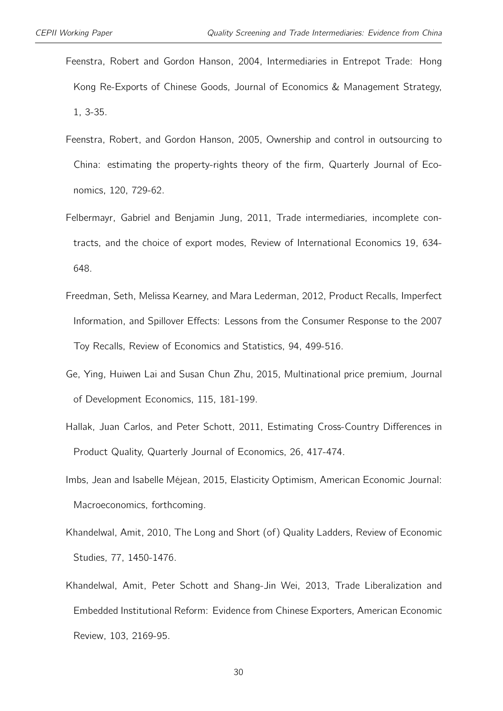- Feenstra, Robert and Gordon Hanson, 2004, Intermediaries in Entrepot Trade: Hong Kong Re-Exports of Chinese Goods, Journal of Economics & Management Strategy, 1, 3-35.
- Feenstra, Robert, and Gordon Hanson, 2005, Ownership and control in outsourcing to China: estimating the property-rights theory of the firm, Quarterly Journal of Economics, 120, 729-62.
- Felbermayr, Gabriel and Benjamin Jung, 2011, Trade intermediaries, incomplete contracts, and the choice of export modes, Review of International Economics 19, 634- 648.
- Freedman, Seth, Melissa Kearney, and Mara Lederman, 2012, Product Recalls, Imperfect Information, and Spillover Effects: Lessons from the Consumer Response to the 2007 Toy Recalls, Review of Economics and Statistics, 94, 499-516.
- Ge, Ying, Huiwen Lai and Susan Chun Zhu, 2015, Multinational price premium, Journal of Development Economics, 115, 181-199.
- Hallak, Juan Carlos, and Peter Schott, 2011, Estimating Cross-Country Differences in Product Quality, Quarterly Journal of Economics, 26, 417-474.
- Imbs, Jean and Isabelle Méjean, 2015, Elasticity Optimism, American Economic Journal: Macroeconomics, forthcoming.
- Khandelwal, Amit, 2010, The Long and Short (of) Quality Ladders, Review of Economic Studies, 77, 1450-1476.
- Khandelwal, Amit, Peter Schott and Shang-Jin Wei, 2013, Trade Liberalization and Embedded Institutional Reform: Evidence from Chinese Exporters, American Economic Review, 103, 2169-95.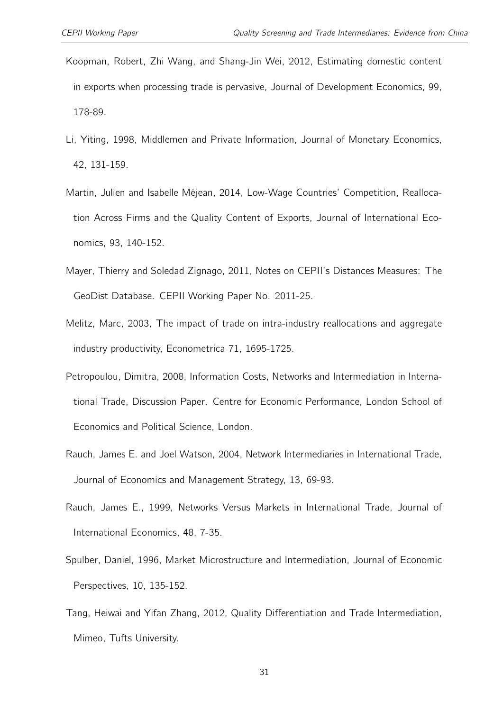- Koopman, Robert, Zhi Wang, and Shang-Jin Wei, 2012, Estimating domestic content in exports when processing trade is pervasive, Journal of Development Economics, 99, 178-89.
- Li, Yiting, 1998, Middlemen and Private Information, Journal of Monetary Economics, 42, 131-159.
- Martin, Julien and Isabelle Méjean, 2014, Low-Wage Countries' Competition, Reallocation Across Firms and the Quality Content of Exports, Journal of International Economics, 93, 140-152.
- Mayer, Thierry and Soledad Zignago, 2011, Notes on CEPII's Distances Measures: The GeoDist Database. CEPII Working Paper No. 2011-25.
- Melitz, Marc, 2003, The impact of trade on intra-industry reallocations and aggregate industry productivity, Econometrica 71, 1695-1725.
- Petropoulou, Dimitra, 2008, Information Costs, Networks and Intermediation in International Trade, Discussion Paper. Centre for Economic Performance, London School of Economics and Political Science, London.
- Rauch, James E. and Joel Watson, 2004, Network Intermediaries in International Trade, Journal of Economics and Management Strategy, 13, 69-93.
- Rauch, James E., 1999, Networks Versus Markets in International Trade, Journal of International Economics, 48, 7-35.
- Spulber, Daniel, 1996, Market Microstructure and Intermediation, Journal of Economic Perspectives, 10, 135-152.
- Tang, Heiwai and Yifan Zhang, 2012, Quality Differentiation and Trade Intermediation, Mimeo, Tufts University.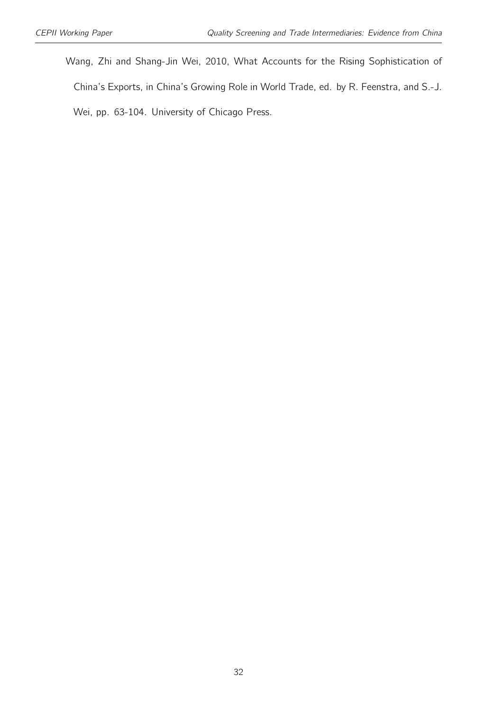Wang, Zhi and Shang-Jin Wei, 2010, What Accounts for the Rising Sophistication of China's Exports, in China's Growing Role in World Trade, ed. by R. Feenstra, and S.-J. Wei, pp. 63-104. University of Chicago Press.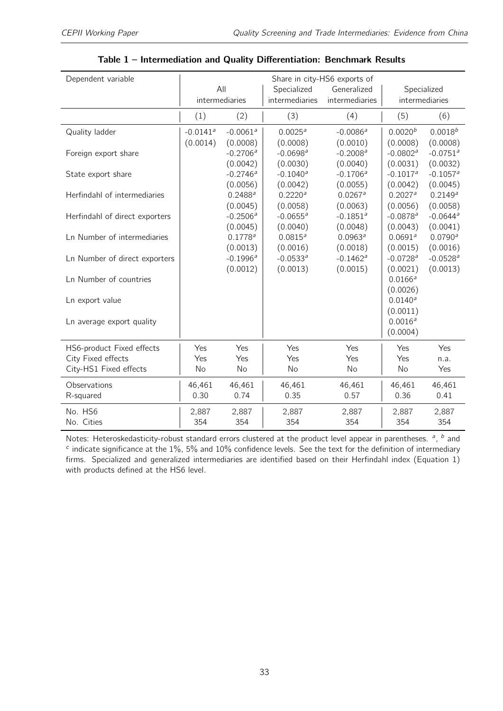<span id="page-32-0"></span>

| All<br>Generalized                                                                                                             |                        |
|--------------------------------------------------------------------------------------------------------------------------------|------------------------|
| Specialized<br>Specialized                                                                                                     |                        |
| intermediaries<br>intermediaries<br>intermediaries<br>intermediaries                                                           |                        |
| (1)<br>(3)<br>(2)<br>(4)<br>(5)                                                                                                | (6)                    |
| $-0.0141$ <sup>a</sup><br>$-0.0061$ <sup>a</sup><br>0.0020 <sup>b</sup><br>0.0025 <sup>a</sup><br>$-0.0086a$<br>Quality ladder | $0.0018^{b}$           |
| (0.0014)<br>(0.0010)<br>(0.0008)<br>(0.0008)<br>(0.0008)                                                                       | (0.0008)               |
| $-0.2706^a$<br>$-0.0698$ <sup>a</sup><br>$-0.2008a$<br>$-0.0802$ <sup>a</sup><br>Foreign export share                          | $-0.0751$ <sup>a</sup> |
| (0.0042)<br>(0.0030)<br>(0.0040)<br>(0.0031)                                                                                   | (0.0032)               |
| $-0.1040^a$<br>$-0.2746$ <sup>a</sup><br>$-0.1706a$<br>$-0.1017$ <sup>a</sup><br>State export share                            | $-0.1057$ <sup>a</sup> |
| (0.0056)<br>(0.0042)<br>(0.0055)<br>(0.0042)                                                                                   | (0.0045)               |
| 0.2220 <sup>a</sup><br>$0.0267$ <sup>a</sup><br>0.2027 <sup>a</sup><br>Herfindahl of intermediaries<br>$0.2488^a$              | $0.2149^{a}$           |
| (0.0045)<br>(0.0058)<br>(0.0063)<br>(0.0056)                                                                                   | (0.0058)               |
| $-0.2506a$<br>$-0.0655$ <sup>a</sup><br>$-0.1851$ <sup>a</sup><br>$-0.0878$ <sup>a</sup><br>Herfindahl of direct exporters     | $-0.0644$ <sup>a</sup> |
| (0.0045)<br>(0.0040)<br>(0.0048)<br>(0.0043)                                                                                   | (0.0041)               |
| Ln Number of intermediaries<br>$0.1778^{a}$<br>$0.0815^{a}$<br>$0.0963^a$<br>0.0691 <sup>a</sup>                               | $0.0790^{a}$           |
| (0.0013)<br>(0.0016)<br>(0.0018)<br>(0.0015)                                                                                   | (0.0016)               |
| $-0.1996a$<br>$-0.0533a$<br>$-0.1462a$<br>$-0.0728$ <sup>a</sup><br>Ln Number of direct exporters                              | $-0.0528a$             |
| (0.0012)<br>(0.0013)<br>(0.0015)<br>(0.0021)                                                                                   | (0.0013)               |
| $0.0166^a$<br>Ln Number of countries                                                                                           |                        |
| (0.0026)                                                                                                                       |                        |
| $0.0140^a$<br>Ln export value                                                                                                  |                        |
| (0.0011)                                                                                                                       |                        |
| 0.0016a<br>Ln average export quality                                                                                           |                        |
| (0.0004)                                                                                                                       |                        |
| HS6-product Fixed effects<br>Yes<br>Yes<br>Yes<br>Yes<br>Yes                                                                   | Yes                    |
| City Fixed effects<br>Yes<br>Yes<br>Yes<br>Yes<br>Yes                                                                          | n.a.                   |
| City-HS1 Fixed effects<br>No<br>No<br>No<br>No<br>No                                                                           | Yes                    |
|                                                                                                                                |                        |
| Observations<br>46,461<br>46,461<br>46,461<br>46,461<br>46,461                                                                 | 46,461                 |
| 0.30<br>0.74<br>0.35<br>0.57<br>0.36<br>R-squared                                                                              | 0.41                   |
| No. HS6<br>2,887<br>2,887<br>2,887<br>2,887<br>2,887                                                                           | 2,887                  |
| No. Cities<br>354<br>354<br>354<br>354<br>354                                                                                  | 354                    |

Table 1 – Intermediation and Quality Differentiation: Benchmark Results

Notes: Heteroskedasticity-robust standard errors clustered at the product level appear in parentheses.  $a$ ,  $b$  and  $c$  indicate significance at the 1%, 5% and 10% confidence levels. See the text for the definition of intermediary firms. Specialized and generalized intermediaries are identified based on their Herfindahl index (Equation [1\)](#page-9-0) with products defined at the HS6 level.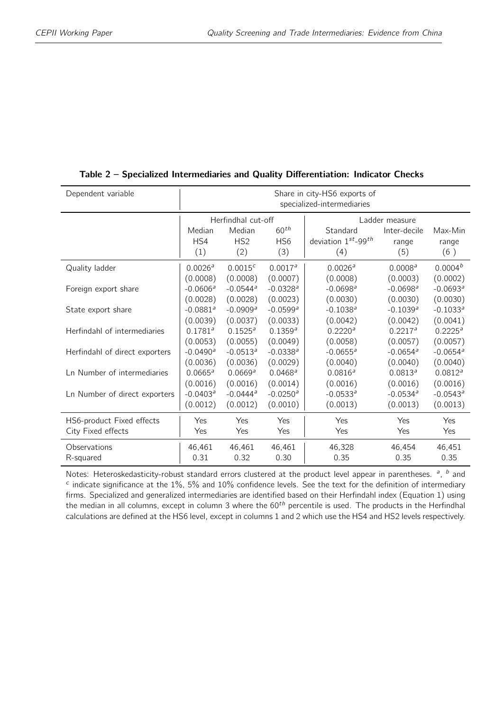| Dependent variable             | Share in city-HS6 exports of<br>specialized-intermediaries |                                      |                                            |                                       |                              |                         |  |
|--------------------------------|------------------------------------------------------------|--------------------------------------|--------------------------------------------|---------------------------------------|------------------------------|-------------------------|--|
|                                |                                                            | Herfindhal cut-off<br>Ladder measure |                                            |                                       |                              |                         |  |
|                                | Median<br>HS4<br>(1)                                       | Median<br>HS <sub>2</sub><br>(2)     | 60 <sup>th</sup><br>H <sub>S6</sub><br>(3) | Standard<br>deviation 1st-99th<br>(4) | Inter-decile<br>range<br>(5) | Max-Min<br>range<br>(6) |  |
| Quality ladder                 | 0.0026a                                                    | $0.0015^{c}$                         | 0.0017a                                    | 0.0026 <sup>a</sup>                   | 0.0008 <sup>a</sup>          | 0.0004 <sup>b</sup>     |  |
|                                | (0.0008)                                                   | (0.0008)                             | (0.0007)                                   | (0.0008)                              | (0.0003)                     | (0.0002)                |  |
| Foreign export share           | $-0.0606^a$                                                | $-0.0544$ <sup>a</sup>               | $-0.0328$ <sup>a</sup>                     | $-0.0698$ <sup>a</sup>                | $-0.0698$ <sup>a</sup>       | $-0.0693a$              |  |
|                                | (0.0028)                                                   | (0.0028)                             | (0.0023)                                   | (0.0030)                              | (0.0030)                     | (0.0030)                |  |
| State export share             | $-0.0881a$                                                 | $-0.0909$ <sup>a</sup>               | $-0.0599$ <sup>a</sup>                     | $-0.1038$ <sup>a</sup>                | $-0.1039$ <sup>a</sup>       | $-0.1033^a$             |  |
|                                | (0.0039)                                                   | (0.0037)                             | (0.0033)                                   | (0.0042)                              | (0.0042)                     | (0.0041)                |  |
| Herfindahl of intermediaries   | 0.1781 <sup>a</sup>                                        | $0.1525^a$                           | 0.1359 <sup>a</sup>                        | 0.2220 <sup>a</sup>                   | $0.2217^a$                   | $0.2225^a$              |  |
|                                | (0.0053)                                                   | (0.0055)                             | (0.0049)                                   | (0.0058)                              | (0.0057)                     | (0.0057)                |  |
| Herfindahl of direct exporters | $-0.0490^a$                                                | $-0.0513^a$                          | $-0.0338$ <sup>a</sup>                     | $-0.0655$ <sup>a</sup>                | $-0.0654$ <sup>a</sup>       | $-0.0654$ <sup>a</sup>  |  |
|                                | (0.0036)                                                   | (0.0036)                             | (0.0029)                                   | (0.0040)                              | (0.0040)                     | (0.0040)                |  |
| Ln Number of intermediaries    | $0.0665^a$                                                 | 0.0669a                              | $0.0468^{\circ}$                           | 0.0816a                               | 0.0813a                      | 0.0812 <sup>a</sup>     |  |
|                                | (0.0016)                                                   | (0.0016)                             | (0.0014)                                   | (0.0016)                              | (0.0016)                     | (0.0016)                |  |
| Ln Number of direct exporters  | $-0.0403^a$                                                | $-0.0444$ <sup>a</sup>               | $-0.0250$ <sup>a</sup>                     | $-0.0533^a$                           | $-0.0534$ <sup>a</sup>       | $-0.0543^a$             |  |
|                                | (0.0012)                                                   | (0.0012)                             | (0.0010)                                   | (0.0013)                              | (0.0013)                     | (0.0013)                |  |
| HS6-product Fixed effects      | Yes                                                        | Yes                                  | Yes                                        | Yes                                   | Yes                          | Yes                     |  |
| City Fixed effects             | Yes                                                        | Yes                                  | Yes                                        | Yes                                   | Yes                          | Yes                     |  |
| Observations                   | 46,461                                                     | 46,461                               | 46,461                                     | 46,328                                | 46,454                       | 46,451                  |  |
| R-squared                      | 0.31                                                       | 0.32                                 | 0.30                                       | 0.35                                  | 0.35                         | 0.35                    |  |

#### <span id="page-33-0"></span>Table 2 – Specialized Intermediaries and Quality Differentiation: Indicator Checks

Notes: Heteroskedasticity-robust standard errors clustered at the product level appear in parentheses.  $a$ ,  $b$  and  $c$  indicate significance at the 1%, 5% and 10% confidence levels. See the text for the definition of intermediary firms. Specialized and generalized intermediaries are identified based on their Herfindahl index (Equation [1\)](#page-9-0) using the median in all columns, except in column 3 where the  $60<sup>th</sup>$  percentile is used. The products in the Herfindhal calculations are defined at the HS6 level, except in columns 1 and 2 which use the HS4 and HS2 levels respectively.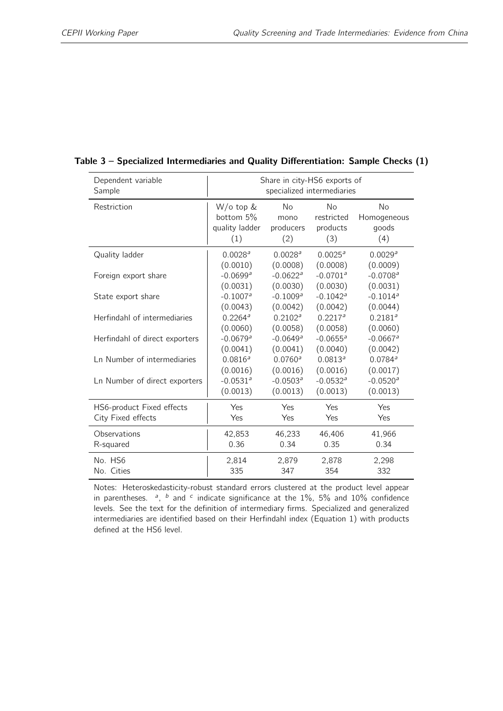| Dependent variable             | Share in city-HS6 exports of |                        |                        |                        |  |  |
|--------------------------------|------------------------------|------------------------|------------------------|------------------------|--|--|
| Sample                         | specialized intermediaries   |                        |                        |                        |  |  |
| Restriction                    | W/o top &                    | <b>No</b>              | No                     | No                     |  |  |
|                                | bottom 5%                    | mono                   | restricted             | Homogeneous            |  |  |
|                                | quality ladder               | producers              | products               | goods                  |  |  |
|                                | (1)                          | (2)                    | (3)                    | (4)                    |  |  |
| Quality ladder                 | 0.0028 <sup>a</sup>          | 0.0028 <sup>a</sup>    | $0.0025^a$             | 0.0029 <sup>a</sup>    |  |  |
|                                | (0.0010)                     | (0.0008)               | (0.0008)               | (0.0009)               |  |  |
| Foreign export share           | $-0.0699$ <sup>a</sup>       | $-0.0622$ <sup>a</sup> | $-0.0701^a$            | $-0.0708$ <sup>a</sup> |  |  |
|                                | (0.0031)                     | (0.0030)               | (0.0030)               | (0.0031)               |  |  |
| State export share             | $-0.1007$ <sup>a</sup>       | $-0.1009a$             | $-0.1042$ <sup>a</sup> | $-0.1014$ <sup>a</sup> |  |  |
| Herfindahl of intermediaries   | (0.0043)                     | (0.0042)               | (0.0042)               | (0.0044)               |  |  |
|                                | $0.2264^a$                   | 0.2102 <sup>a</sup>    | $0.2217^a$             | 0.2181 <sup>a</sup>    |  |  |
| Herfindahl of direct exporters | (0.0060)                     | (0.0058)               | (0.0058)               | (0.0060)               |  |  |
|                                | $-0.0679a$                   | $-0.0649a$             | $-0.0655^a$            | $-0.0667$ <sup>a</sup> |  |  |
| Ln Number of intermediaries    | (0.0041)                     | (0.0041)               | (0.0040)               | (0.0042)               |  |  |
|                                | 0.0816 <sup>a</sup>          | 0.0760a                | 0.0813 <sup>a</sup>    | $0.0784$ <sup>a</sup>  |  |  |
| Ln Number of direct exporters  | (0.0016)                     | (0.0016)               | (0.0016)               | (0.0017)               |  |  |
|                                | $-0.0531^a$                  | $-0.0503^a$            | $-0.0532$ <sup>a</sup> | $-0.0520$ <sup>a</sup> |  |  |
|                                | (0.0013)                     | (0.0013)               | (0.0013)               | (0.0013)               |  |  |
| HS6-product Fixed effects      | Yes                          | Yes                    | Yes                    | Yes                    |  |  |
| City Fixed effects             | Yes                          | Yes                    | Yes                    | Yes                    |  |  |
| Observations                   | 42,853                       | 46,233                 | 46,406                 | 41,966                 |  |  |
| R-squared                      | 0.36                         | 0.34                   | 0.35                   | 0.34                   |  |  |
| No. HS6                        | 2,814                        | 2,879                  | 2,878                  | 2,298                  |  |  |
| No. Cities                     | 335                          | 347                    | 354                    | 332                    |  |  |

#### <span id="page-34-0"></span>Table 3 – Specialized Intermediaries and Quality Differentiation: Sample Checks (1)

Notes: Heteroskedasticity-robust standard errors clustered at the product level appear in parentheses.  $a$ ,  $b$  and  $c$  indicate significance at the 1%, 5% and 10% confidence levels. See the text for the definition of intermediary firms. Specialized and generalized intermediaries are identified based on their Herfindahl index (Equation [1\)](#page-9-0) with products defined at the HS6 level.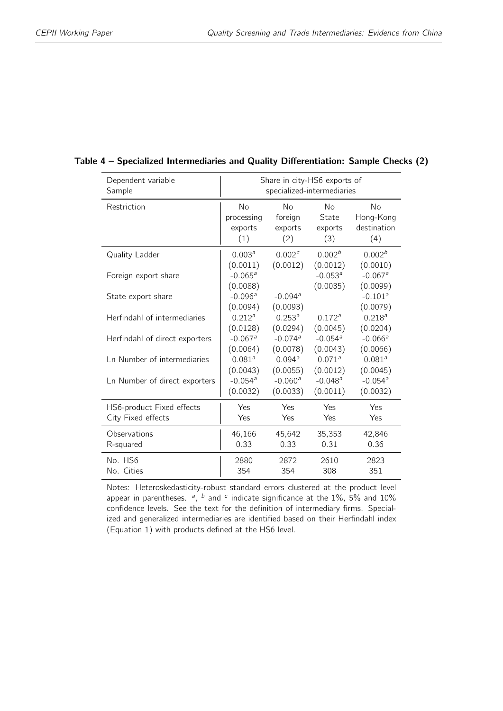| Dependent variable             | Share in city-HS6 exports of      |                       |                        |                                   |  |  |  |  |
|--------------------------------|-----------------------------------|-----------------------|------------------------|-----------------------------------|--|--|--|--|
| Sample                         | specialized-intermediaries        |                       |                        |                                   |  |  |  |  |
| Restriction                    | <b>No</b>                         | <b>No</b>             | <b>No</b>              | <b>No</b>                         |  |  |  |  |
|                                | processing                        | foreign               | State                  | Hong-Kong                         |  |  |  |  |
|                                | exports                           | exports               | exports                | destination                       |  |  |  |  |
|                                | (1)                               | (2)                   | (3)                    | (4)                               |  |  |  |  |
| Quality Ladder                 | 0.003 <sup>a</sup>                | 0.002 <sup>c</sup>    | 0.002 <sup>b</sup>     | 0.002 <sup>b</sup>                |  |  |  |  |
|                                | (0.0011)                          | (0.0012)              | (0.0012)               | (0.0010)                          |  |  |  |  |
| Foreign export share           | $-0.065$ <sup>a</sup><br>(0.0088) |                       | $-0.053^a$<br>(0.0035) | $-0.067$ <sup>a</sup><br>(0.0099) |  |  |  |  |
| State export share             | $-0.096a$<br>(0.0094)             | $-0.094a$<br>(0.0093) |                        | $-0.101$ <sup>a</sup><br>(0.0079) |  |  |  |  |
| Herfindahl of intermediaries   | 0.212 <sup>a</sup>                | $0.253^{a}$           | 0.172 <sup>a</sup>     | 0.218 <sup>a</sup>                |  |  |  |  |
|                                | (0.0128)                          | (0.0294)              | (0.0045)               | (0.0204)                          |  |  |  |  |
| Herfindahl of direct exporters | $-0.067$ <sup>a</sup>             | $-0.074$ <sup>a</sup> | $-0.054$ <sup>a</sup>  | $-0.066a$                         |  |  |  |  |
|                                | (0.0064)                          | (0.0078)              | (0.0043)               | (0.0066)                          |  |  |  |  |
| Ln Number of intermediaries    | 0.081 <sup>a</sup>                | 0.094a                | 0.071a                 | 0.081 <sup>a</sup>                |  |  |  |  |
|                                | (0.0043)                          | (0.0055)              | (0.0012)               | (0.0045)                          |  |  |  |  |
| Ln Number of direct exporters  | $-0.054a$                         | $-0.060$ <sup>a</sup> | $-0.048a$              | $-0.054a$                         |  |  |  |  |
|                                | (0.0032)                          | (0.0033)              | (0.0011)               | (0.0032)                          |  |  |  |  |
| HS6-product Fixed effects      | Yes                               | Yes                   | Yes                    | Yes                               |  |  |  |  |
| City Fixed effects             | Yes                               | Yes                   | Yes                    | Yes                               |  |  |  |  |
| Observations                   | 46,166                            | 45,642                | 35,353                 | 42,846                            |  |  |  |  |
| R-squared                      | 0.33                              | 0.33                  | 0.31                   | 0.36                              |  |  |  |  |
| No. HS6                        | 2880                              | 2872                  | 2610                   | 2823                              |  |  |  |  |
| No. Cities                     | 354                               | 354                   | 308                    | 351                               |  |  |  |  |

#### <span id="page-35-0"></span>Table 4 – Specialized Intermediaries and Quality Differentiation: Sample Checks (2)

Notes: Heteroskedasticity-robust standard errors clustered at the product level appear in parentheses.  $a$ ,  $b$  and  $c$  indicate significance at the 1%, 5% and 10% confidence levels. See the text for the definition of intermediary firms. Specialized and generalized intermediaries are identified based on their Herfindahl index (Equation [1\)](#page-9-0) with products defined at the HS6 level.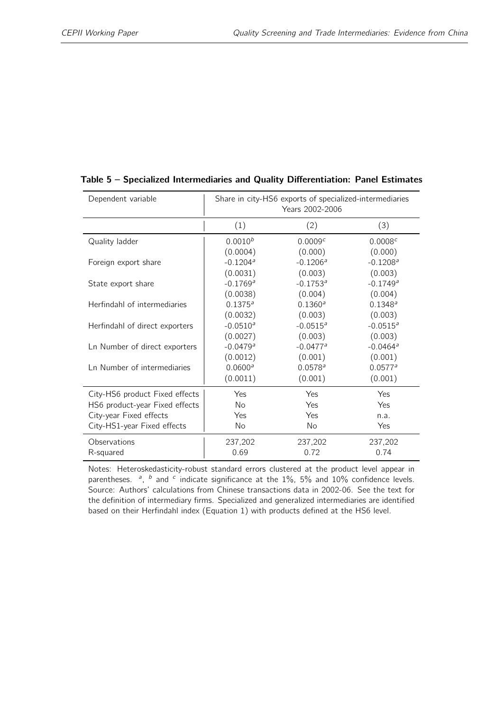| Dependent variable             | Share in city-HS6 exports of specialized-intermediaries<br>Years 2002-2006 |                        |                        |  |  |
|--------------------------------|----------------------------------------------------------------------------|------------------------|------------------------|--|--|
|                                | (1)                                                                        | (2)                    | (3)                    |  |  |
| Quality ladder                 | $0.0010^{b}$                                                               | 0.0009 <sup>c</sup>    | 0.0008 <sup>c</sup>    |  |  |
|                                | (0.0004)                                                                   | (0.000)                | (0.000)                |  |  |
| Foreign export share           | $-0.1204$ <sup>a</sup>                                                     | $-0.1206^a$            | $-0.1208$ <sup>a</sup> |  |  |
|                                | (0.0031)                                                                   | (0.003)                | (0.003)                |  |  |
| State export share             | $-0.1769$ <sup>a</sup>                                                     | $-0.1753^a$            | $-0.1749$ <sup>a</sup> |  |  |
|                                | (0.0038)                                                                   | (0.004)                | (0.004)                |  |  |
| Herfindahl of intermediaries   | $0.1375^a$                                                                 | $0.1360^a$             | $0.1348^a$             |  |  |
|                                | (0.0032)                                                                   | (0.003)                | (0.003)                |  |  |
| Herfindahl of direct exporters | $-0.0510^a$                                                                | $-0.0515^a$            | $-0.0515^a$            |  |  |
|                                | (0.0027)                                                                   | (0.003)                | (0.003)                |  |  |
| Ln Number of direct exporters  | $-0.0479a$                                                                 | $-0.0477$ <sup>a</sup> | $-0.0464$ <sup>a</sup> |  |  |
|                                | (0.0012)                                                                   | (0.001)                | (0.001)                |  |  |
| Ln Number of intermediaries    | $0.0600^a$                                                                 | 0.0578 <sup>a</sup>    | $0.0577^a$             |  |  |
|                                | (0.0011)                                                                   | (0.001)                | (0.001)                |  |  |
| City-HS6 product Fixed effects | Yes                                                                        | Yes                    | Yes                    |  |  |
| HS6 product-year Fixed effects | <b>No</b>                                                                  | Yes                    | Yes                    |  |  |
| City-year Fixed effects        | Yes                                                                        | Yes                    | n.a.                   |  |  |
| City-HS1-year Fixed effects    | No                                                                         | No                     | Yes                    |  |  |
| Observations                   | 237,202                                                                    | 237,202                | 237,202                |  |  |
| R-squared                      | 0.69                                                                       | 0.72                   | 0.74                   |  |  |

#### <span id="page-36-0"></span>Table 5 – Specialized Intermediaries and Quality Differentiation: Panel Estimates

Notes: Heteroskedasticity-robust standard errors clustered at the product level appear in parentheses.  $a$ ,  $b$  and  $c$  indicate significance at the 1%, 5% and 10% confidence levels. Source: Authors' calculations from Chinese transactions data in 2002-06. See the text for the definition of intermediary firms. Specialized and generalized intermediaries are identified based on their Herfindahl index (Equation [1\)](#page-9-0) with products defined at the HS6 level.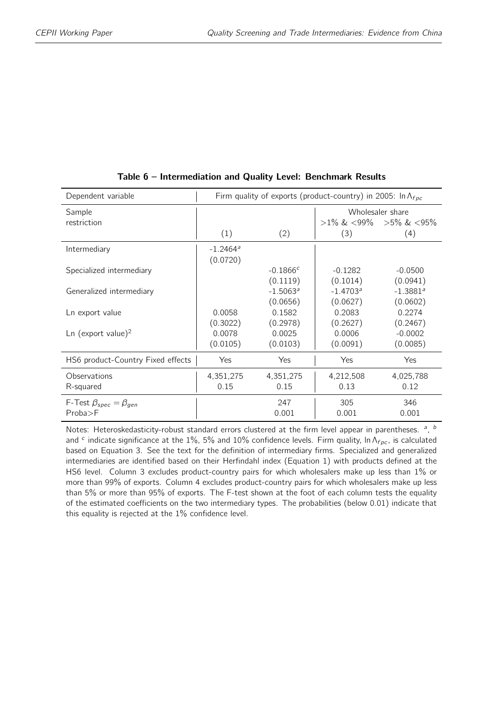<span id="page-37-0"></span>

| Dependent variable                  | Firm quality of exports (product-country) in 2005: In $\Lambda_{f \rho c}$ |             |                  |                                   |  |  |
|-------------------------------------|----------------------------------------------------------------------------|-------------|------------------|-----------------------------------|--|--|
| Sample                              |                                                                            |             | Wholesaler share |                                   |  |  |
| restriction                         |                                                                            |             |                  | $>1\%$ & $<99\%$ $>5\%$ & $<95\%$ |  |  |
|                                     | (1)                                                                        | (2)         | (3)              | (4)                               |  |  |
| Intermediary                        | $-1.2464$ <sup>a</sup>                                                     |             |                  |                                   |  |  |
|                                     | (0.0720)                                                                   |             |                  |                                   |  |  |
| Specialized intermediary            |                                                                            | $-0.1866c$  | $-0.1282$        | $-0.0500$                         |  |  |
|                                     |                                                                            | (0.1119)    | (0.1014)         | (0.0941)                          |  |  |
| Generalized intermediary            |                                                                            | $-1.5063^a$ | $-1.4703^a$      | $-1.3881a$                        |  |  |
|                                     |                                                                            | (0.0656)    | (0.0627)         | (0.0602)                          |  |  |
| Ln export value                     | 0.0058                                                                     | 0.1582      | 0.2083           | 0.2274                            |  |  |
|                                     | (0.3022)                                                                   | (0.2978)    | (0.2627)         | (0.2467)                          |  |  |
| Ln (export value) <sup>2</sup>      | 0.0078                                                                     | 0.0025      | 0.0006           | $-0.0002$                         |  |  |
|                                     | (0.0105)                                                                   | (0.0103)    | (0.0091)         | (0.0085)                          |  |  |
| HS6 product-Country Fixed effects   | Yes                                                                        | Yes         | Yes              | Yes                               |  |  |
| Observations                        | 4,351,275                                                                  | 4,351,275   | 4,212,508        | 4,025,788                         |  |  |
| R-squared                           | 0.15                                                                       | 0.15        | 0.13             | 0.12                              |  |  |
| F-Test $\beta_{spec} = \beta_{gen}$ |                                                                            | 247         | 305              | 346                               |  |  |
| Proba > F                           |                                                                            | 0.001       | 0.001            | 0.001                             |  |  |

Table 6 – Intermediation and Quality Level: Benchmark Results

Notes: Heteroskedasticity-robust standard errors clustered at the firm level appear in parentheses.  $a$ ,  $b$ and <sup>c</sup> indicate significance at the 1%, 5% and 10% confidence levels. Firm quality, In  $\Lambda_{fpc}$ , is calculated based on Equation [3.](#page-13-0) See the text for the definition of intermediary firms. Specialized and generalized intermediaries are identified based on their Herfindahl index (Equation [1\)](#page-9-0) with products defined at the HS6 level. Column 3 excludes product-country pairs for which wholesalers make up less than 1% or more than 99% of exports. Column 4 excludes product-country pairs for which wholesalers make up less than 5% or more than 95% of exports. The F-test shown at the foot of each column tests the equality of the estimated coefficients on the two intermediary types. The probabilities (below 0.01) indicate that this equality is rejected at the 1% confidence level.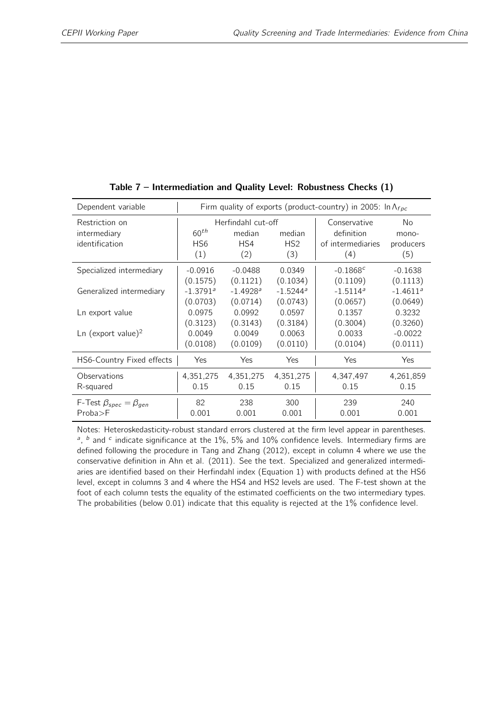<span id="page-38-0"></span>

| Dependent variable                               | Firm quality of exports (product-country) in 2005: In $\Lambda_{fpc}$                                                 |            |                        |                                                        |                                        |
|--------------------------------------------------|-----------------------------------------------------------------------------------------------------------------------|------------|------------------------|--------------------------------------------------------|----------------------------------------|
| Restriction on<br>intermediary<br>identification | Herfindahl cut-off<br>$60^{th}$<br>median<br>median<br>HS4<br>HS <sub>6</sub><br>HS <sub>2</sub><br>(1)<br>(2)<br>(3) |            |                        | Conservative<br>definition<br>of intermediaries<br>(4) | <b>No</b><br>mono-<br>producers<br>(5) |
| Specialized intermediary                         | $-0.0916$                                                                                                             | $-0.0488$  | 0.0349                 | $-0.1868c$                                             | $-0.1638$                              |
|                                                  | (0.1575)                                                                                                              | (0.1121)   | (0.1034)               | (0.1109)                                               | (0.1113)                               |
| Generalized intermediary                         | $-1.3791$ <sup>a</sup>                                                                                                | $-1.4928a$ | $-1.5244$ <sup>a</sup> | $-1.5114$ <sup>a</sup>                                 | $-1.4611^a$                            |
|                                                  | (0.0703)                                                                                                              | (0.0714)   | (0.0743)               | (0.0657)                                               | (0.0649)                               |
| Ln export value                                  | 0.0975                                                                                                                | 0.0992     | 0.0597                 | 0.1357                                                 | 0.3232                                 |
|                                                  | (0.3123)                                                                                                              | (0.3143)   | (0.3184)               | (0.3004)                                               | (0.3260)                               |
| $\text{Ln}$ (export value) <sup>2</sup>          | 0.0049                                                                                                                | 0.0049     | 0.0063                 | 0.0033                                                 | $-0.0022$                              |
|                                                  | (0.0108)                                                                                                              | (0.0109)   | (0.0110)               | (0.0104)                                               | (0.0111)                               |
| HS6-Country Fixed effects                        | Yes                                                                                                                   | Yes        | Yes                    | Yes                                                    | Yes                                    |
| Observations                                     | 4,351,275                                                                                                             | 4,351,275  | 4,351,275              | 4,347,497                                              | 4,261,859                              |
| R-squared                                        | 0.15                                                                                                                  | 0.15       | 0.15                   | 0.15                                                   | 0.15                                   |
| F-Test $\beta_{spec} = \beta_{gen}$              | 82                                                                                                                    | 238        | 300                    | 239                                                    | 240                                    |
| Proba > F                                        | 0.001                                                                                                                 | 0.001      | 0.001                  | 0.001                                                  | 0.001                                  |

Table 7 – Intermediation and Quality Level: Robustness Checks (1)

Notes: Heteroskedasticity-robust standard errors clustered at the firm level appear in parentheses.  $a$ ,  $b$  and  $c$  indicate significance at the 1%, 5% and 10% confidence levels. Intermediary firms are defined following the procedure in Tang and Zhang (2012), except in column 4 where we use the conservative definition in Ahn et al. (2011). See the text. Specialized and generalized intermediaries are identified based on their Herfindahl index (Equation [1\)](#page-9-0) with products defined at the HS6 level, except in columns 3 and 4 where the HS4 and HS2 levels are used. The F-test shown at the foot of each column tests the equality of the estimated coefficients on the two intermediary types. The probabilities (below 0.01) indicate that this equality is rejected at the 1% confidence level.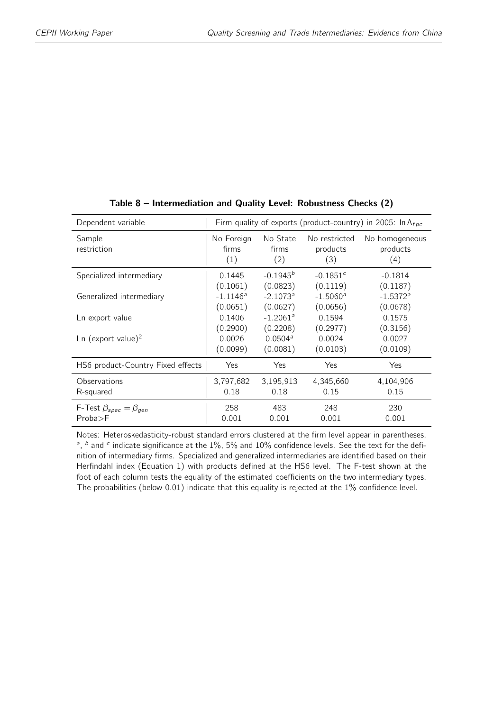<span id="page-39-0"></span>

| Dependent variable                  | Firm quality of exports (product-country) in 2005: In $\Lambda_{f \rho c}$ |                          |                                  |                                   |  |  |
|-------------------------------------|----------------------------------------------------------------------------|--------------------------|----------------------------------|-----------------------------------|--|--|
| Sample<br>restriction               | No Foreign<br>firms<br>(1)                                                 | No State<br>firms<br>(2) | No restricted<br>products<br>(3) | No homogeneous<br>products<br>(4) |  |  |
| Specialized intermediary            | 0.1445                                                                     | $-0.1945^{b}$            | $-0.1851c$                       | $-0.1814$                         |  |  |
|                                     | (0.1061)                                                                   | (0.0823)                 | (0.1119)                         | (0.1187)                          |  |  |
| Generalized intermediary            | $-1.1146^a$                                                                | $-2.1073$ <sup>a</sup>   | $-1.5060^{\circ}$                | $-1.5372$ <sup>a</sup>            |  |  |
|                                     | (0.0651)                                                                   | (0.0627)                 | (0.0656)                         | (0.0678)                          |  |  |
| Ln export value                     | 0.1406                                                                     | $-1.2061^a$              | 0.1594                           | 0.1575                            |  |  |
| Ln (export value) <sup>2</sup>      | (0.2900)                                                                   | (0.2208)                 | (0.2977)                         | (0.3156)                          |  |  |
|                                     | 0.0026                                                                     | 0.0504 <sup>a</sup>      | 0.0024                           | 0.0027                            |  |  |
|                                     | (0.0099)                                                                   | (0.0081)                 | (0.0103)                         | (0.0109)                          |  |  |
| HS6 product-Country Fixed effects   | Yes                                                                        | Yes                      | Yes                              | Yes                               |  |  |
| Observations                        | 3,797,682                                                                  | 3,195,913                | 4,345,660                        | 4,104,906                         |  |  |
| R-squared                           | 0.18                                                                       | 0.18                     | 0.15                             | 0.15                              |  |  |
| F-Test $\beta_{spec} = \beta_{gen}$ | 258                                                                        | 483                      | 248                              | 230                               |  |  |
| Proba > F                           | 0.001                                                                      | 0.001                    | 0.001                            | 0.001                             |  |  |

Table 8 – Intermediation and Quality Level: Robustness Checks (2)

Notes: Heteroskedasticity-robust standard errors clustered at the firm level appear in parentheses.  $a$ ,  $b$  and  $c$  indicate significance at the 1%, 5% and 10% confidence levels. See the text for the definition of intermediary firms. Specialized and generalized intermediaries are identified based on their Herfindahl index (Equation [1\)](#page-9-0) with products defined at the HS6 level. The F-test shown at the foot of each column tests the equality of the estimated coefficients on the two intermediary types. The probabilities (below 0.01) indicate that this equality is rejected at the 1% confidence level.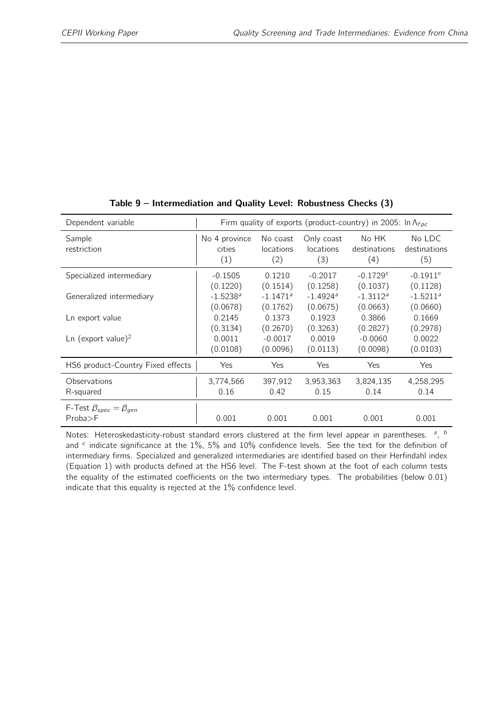<span id="page-40-0"></span>

| Dependent variable                               | Firm quality of exports (product-country) in 2005: In $\Lambda_{fpc}$ |                              |                                       |                              |                               |  |
|--------------------------------------------------|-----------------------------------------------------------------------|------------------------------|---------------------------------------|------------------------------|-------------------------------|--|
| Sample<br>restriction                            | No 4 province<br>cities<br>(1)                                        | No coast<br>locations<br>(2) | Only coast<br><i>locations</i><br>(3) | No HK<br>destinations<br>(4) | No LDC<br>destinations<br>(5) |  |
| Specialized intermediary                         | $-0.1505$                                                             | 0.1210                       | $-0.2017$                             | $-0.1729c$                   | $-0.1911c$                    |  |
|                                                  | (0.1220)                                                              | (0.1514)                     | (0.1258)                              | (0.1037)                     | (0.1128)                      |  |
| Generalized intermediary                         | $-1.5238$ <sup>a</sup>                                                | $-1.1471$ <sup>a</sup>       | $-1.4924$ <sup>a</sup>                | $-1.3112^a$                  | $-1.5211^a$                   |  |
|                                                  | (0.0678)                                                              | (0.1762)                     | (0.0675)                              | (0.0663)                     | (0.0660)                      |  |
| Ln export value                                  | 0.2145                                                                | 0.1373                       | 0.1923                                | 0.3866                       | 0.1669                        |  |
|                                                  | (0.3134)                                                              | (0.2670)                     | (0.3263)                              | (0.2827)                     | (0.2978)                      |  |
| Ln (export value) <sup>2</sup>                   | 0.0011                                                                | $-0.0017$                    | 0.0019                                | $-0.0060$                    | 0.0022                        |  |
|                                                  | (0.0108)                                                              | (0.0096)                     | (0.0113)                              | (0.0098)                     | (0.0103)                      |  |
| HS6 product-Country Fixed effects                | Yes                                                                   | <b>Yes</b>                   | Yes                                   | Yes                          | Yes                           |  |
| Observations                                     | 3,774,566                                                             | 397,912                      | 3,953,363                             | 3,824,135                    | 4,258,295                     |  |
| R-squared                                        | 0.16                                                                  | 0.42                         | 0.15                                  | 0.14                         | 0.14                          |  |
| F-Test $\beta_{spec} = \beta_{gen}$<br>Proba > F | 0.001                                                                 | 0.001                        | 0.001                                 | 0.001                        | 0.001                         |  |

#### Table 9 – Intermediation and Quality Level: Robustness Checks (3)

Notes: Heteroskedasticity-robust standard errors clustered at the firm level appear in parentheses. <sup>a</sup>, <sup>t</sup> and  $c$  indicate significance at the 1%, 5% and 10% confidence levels. See the text for the definition of intermediary firms. Specialized and generalized intermediaries are identified based on their Herfindahl index (Equation [1\)](#page-9-0) with products defined at the HS6 level. The F-test shown at the foot of each column tests the equality of the estimated coefficients on the two intermediary types. The probabilities (below 0.01) indicate that this equality is rejected at the 1% confidence level.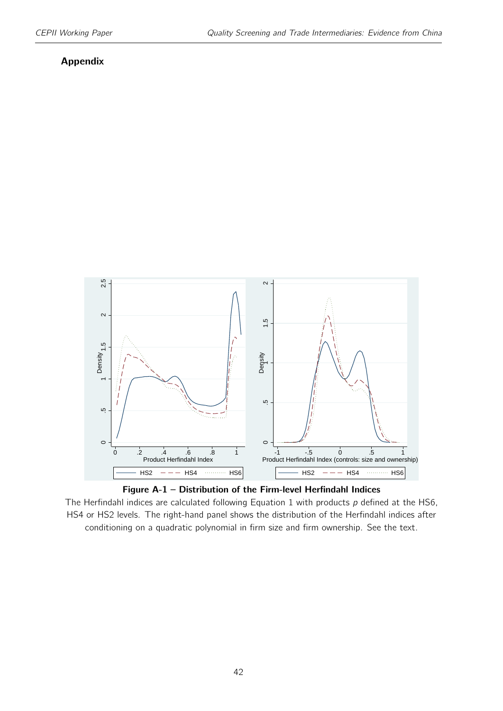#### Appendix

<span id="page-41-0"></span>



The Herfindahl indices are calculated following Equation [1](#page-9-0) with products  $p$  defined at the HS6, HS4 or HS2 levels. The right-hand panel shows the distribution of the Herfindahl indices after conditioning on a quadratic polynomial in firm size and firm ownership. See the text.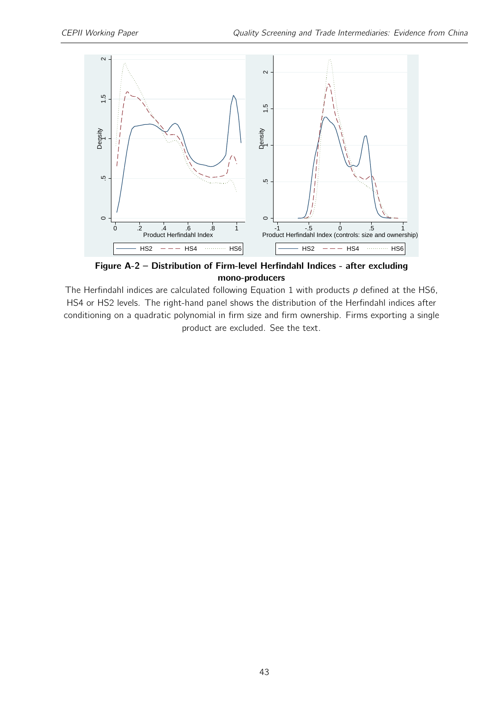<span id="page-42-0"></span>

Figure A-2 – Distribution of Firm-level Herfindahl Indices - after excluding mono-producers

The Herfindahl indices are calculated following Equation [1](#page-9-0) with products  $p$  defined at the HS6, HS4 or HS2 levels. The right-hand panel shows the distribution of the Herfindahl indices after conditioning on a quadratic polynomial in firm size and firm ownership. Firms exporting a single product are excluded. See the text.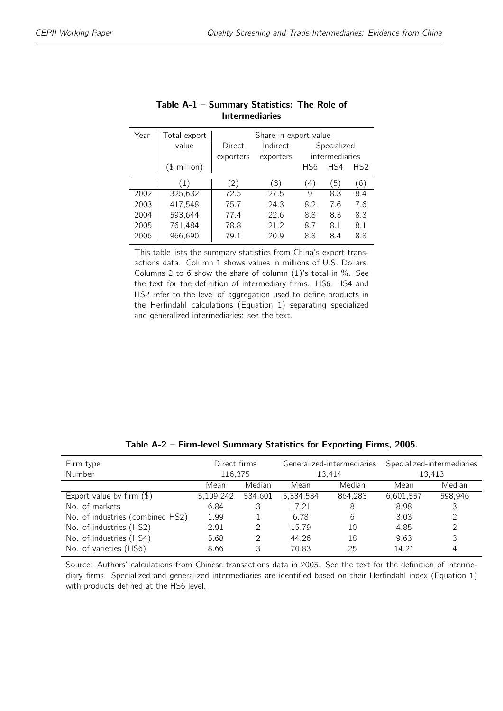<span id="page-43-0"></span>

| Year | Total export<br>value | Share in export value<br>Indirect<br>Specialized<br>Direct<br>intermediaries<br>exporters<br>exporters |      |     |     |     |
|------|-----------------------|--------------------------------------------------------------------------------------------------------|------|-----|-----|-----|
|      | $($$ million $)$      |                                                                                                        |      | HS6 | HS4 | HS2 |
|      | (1)                   | (2)                                                                                                    | (3)  | 4)  | (5) | (6) |
| 2002 | 325,632               | 72.5                                                                                                   | 27.5 | q   | 8.3 | 8.4 |
| 2003 | 417,548               | 75.7                                                                                                   | 24.3 | 8.2 | 7.6 | 7.6 |
| 2004 | 593.644               | 77.4                                                                                                   | 22.6 | 8.8 | 8.3 | 8.3 |
| 2005 | 761,484               | 78.8                                                                                                   | 21.2 | 8.7 | 8.1 | 8.1 |
| 2006 | 966,690               | 79.1                                                                                                   | 20.9 | 8.8 | 8.4 | 8.8 |

| Table A-1 - Summary Statistics: The Role of |  |
|---------------------------------------------|--|
| <b>Intermediaries</b>                       |  |

This table lists the summary statistics from China's export transactions data. Column 1 shows values in millions of U.S. Dollars. Columns 2 to 6 show the share of column (1)'s total in %. See the text for the definition of intermediary firms. HS6, HS4 and HS2 refer to the level of aggregation used to define products in the Herfindahl calculations (Equation [1\)](#page-9-0) separating specialized and generalized intermediaries: see the text.

<span id="page-43-1"></span>

| Firm type                        | Direct firms |         | Generalized-intermediaries |         | Specialized-intermediaries |               |
|----------------------------------|--------------|---------|----------------------------|---------|----------------------------|---------------|
| Number                           | 116,375      |         | 13.414                     |         | 13.413                     |               |
|                                  | Mean         | Median  | Mean                       | Median  | Mean                       | Median        |
| Export value by firm $(\$)$      | 5,109,242    | 534.601 | 5,334,534                  | 864.283 | 6,601,557                  | 598,946       |
| No. of markets                   | 6.84         | 3       | 17.21                      | 8       | 8.98                       | 3             |
| No. of industries (combined HS2) | 1.99         |         | 6.78                       | 6       | 3.03                       | $\mathcal{P}$ |
| No. of industries (HS2)          | 2.91         |         | 15.79                      | 10      | 4.85                       | 2             |
| No. of industries (HS4)          | 5.68         |         | 44.26                      | 18      | 9.63                       | 3             |
| No. of varieties (HS6)           | 8.66         |         | 70.83                      | 25      | 14.21                      | 4             |

Table A-2 – Firm-level Summary Statistics for Exporting Firms, 2005.

Source: Authors' calculations from Chinese transactions data in 2005. See the text for the definition of intermediary firms. Specialized and generalized intermediaries are identified based on their Herfindahl index (Equation [1\)](#page-9-0) with products defined at the HS6 level.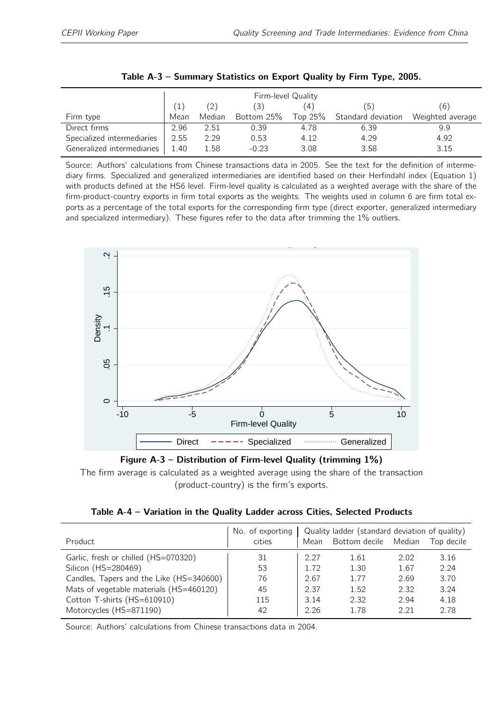<span id="page-44-0"></span>

|                            | Firm-level Quality |        |            |           |                    |                  |  |
|----------------------------|--------------------|--------|------------|-----------|--------------------|------------------|--|
|                            |                    |        | (3)        | (4)       | (5)                | (6)              |  |
| Firm type                  | Mean               | Median | Bottom 25% | Top $25%$ | Standard deviation | Weighted average |  |
| Direct firms               | 2.96               | 2.51   | 0.39       | 4.78      | 6.39               | 9.9              |  |
| Specialized intermediaries | 2.55               | 2.29   | 0.53       | 4.12      | 4.29               | 4.92             |  |
| Generalized intermediaries | 1.40               | 1.58   | $-0.23$    | 3.08      | 3.58               | 3.15             |  |

Source: Authors' calculations from Chinese transactions data in 2005. See the text for the definition of intermediary firms. Specialized and generalized intermediaries are identified based on their Herfindahl index (Equation [1\)](#page-9-0) with products defined at the HS6 level. Firm-level quality is calculated as a weighted average with the share of the firm-product-country exports in firm total exports as the weights. The weights used in column 6 are firm total exports as a percentage of the total exports for the corresponding firm type (direct exporter, generalized intermediary and specialized intermediary). These figures refer to the data after trimming the 1% outliers.



Figure A-3 – Distribution of Firm-level Quality (trimming 1%)

The firm average is calculated as a weighted average using the share of the transaction (product-country) is the firm's exports.

| Table A-4 – Variation in the Quality Ladder across Cities, Selected Products |  |  |  |  |  |  |  |  |
|------------------------------------------------------------------------------|--|--|--|--|--|--|--|--|
|------------------------------------------------------------------------------|--|--|--|--|--|--|--|--|

<span id="page-44-1"></span>

| Product                                  | No. of exporting<br>cities | Mean | Quality ladder (standard deviation of quality)<br>Bottom decile | Median | Top decile |
|------------------------------------------|----------------------------|------|-----------------------------------------------------------------|--------|------------|
| Garlic, fresh or chilled (HS=070320)     | 31                         | 2.27 | 1.61                                                            | 2.02   | 3.16       |
| Silicon (HS=280469)                      | 53                         | 1.72 | 1.30                                                            | 1.67   | 2.24       |
| Candles, Tapers and the Like (HS=340600) | 76                         | 2.67 | 1.77                                                            | 2.69   | 3.70       |
| Mats of vegetable materials (HS=460120)  | 45                         | 2.37 | 1.52                                                            | 2.32   | 3.24       |
| Cotton T-shirts (HS=610910)              | 115                        | 3.14 | 2.32                                                            | 2.94   | 4.18       |
| Motorcycles (HS=871190)                  | 42                         | 2.26 | 1.78                                                            | 2.21   | 2.78       |

Source: Authors' calculations from Chinese transactions data in 2004.